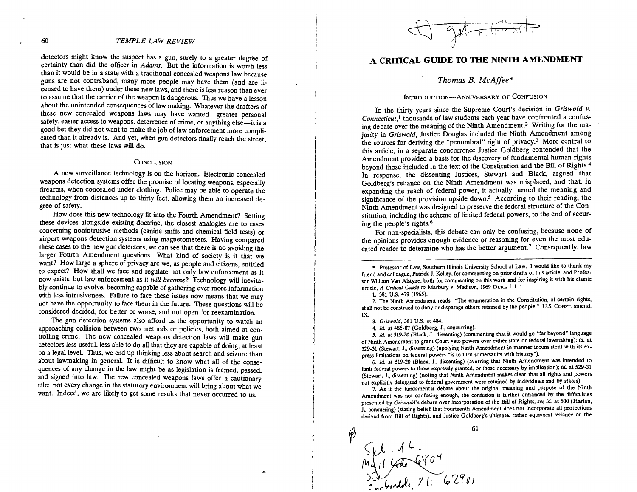### **60** TEMPLE LAW REVIEW

detectors might know the suspect has a gun, surely to a greater degree of certainty than did the officer in Adams. But the information is worth less than it would be in a state with a traditional concealed weapons law because guns are not contraband, many more people may have them (and are licensed to have them) under these new laws, and there is less reason than ever to assume that the carrier of the weapon is dangerous. Thus we have a lesson about the unintended consequences of law making. Whatever the drafters of these new concealed weapons laws may have wanted-greater personal safety, easier access to weapons, deterrence of crime, or anything else-it is a good bet they did not want to make the job of law enforcement more complicated than it already is. And yet, when gun detectors finally reach the street, that is just what these laws will do.

#### CONCLUSION

A new surveillance technology is on the horizon. Electronic concealed weapons detection systems offer the promise of locating weapons, especially firearms, when concealed under clothing. Police may be able to operate the technology from distances up to thirty feet, allowing them an increased degree of safety.

How does this new technology fit into the Fourth Amendment? Setting these devices alongside existing doctrine, the closest analogies are to cases concerning nonintrusive methods (canine sniffs and chemical field tests) or airport weapons detection systems using magnetometers. Having compared these cases to the new gun detectors, we can see that there is no avoiding the larger Fourth Amendment questions. What kind of society is it that we want? How large a sphere of privacy are we, as people and citizens, entitled to expect? How shall we face and regulate not only law enforcement as it now exists, but law enforcement as it will become? Technology will inevitably continue to evolve, becoming capable of gathering ever more information with less intrusiveness. Failure to face these issues now means that we may not have the opportunity to face them in the future. These questions will be considered decided, for better or worse, and not open for reexamination.

The gun detection systems also afford us the opportunity to watch an approaching collision between two methods or policies, both aimed at controlling crime. The new concealed weapons detection laws will make gun detectors less useful, less able to do all that they are capable of doing, at least on a legal level. Thus, we end up thinking less about search and seizure than about lawmaking in general. It is difficult to know what all of the consequences of any change in the law might be as legislation is framed, passed, and signed into law. The new concealed weapons laws offer a cautionary tale: not every change in the statutory environment will bring about what we want. Indeed, we are likely to get some results that never occurred to us.

# **A CRITICAL GUIDE TO THE NINTH AMENDMENT**

# *Thomas B. McAffee\**

#### INTRODUCTION-ANNIVERSARY OF CONFUSION

In the thirty years since the Supreme Court's decision in Griswold  $\nu$ . Connecticut,<sup>1</sup> thousands of law students each year have confronted a confusing debate over the meaning of the Ninth Amendment.2 Writing for the majority in Griswold, Justice Douglas included the Ninth Amendment among the sources for deriving the "penumbral" right of privacy. $3$  More central to this article, in a separate concurrence Justice Goldberg contended that the Amendment provided a basis for the discovery of fundamental human rights beyond those included in the text of the Constitution and the Bill of Rights.<sup>4</sup> In response, the dissenting Justices, Stewart and Black, argued that Goldberg's reliance on the Ninth Amendment was misplaced, and that. in expanding the reach of federal power, it actually turned the meaning and significance of the provision upside down.5 According to their reading, the Ninth Amendment was designed to preserve the federal structure of the Constitution, including the scheme of limited federal powers, to the end of securing the people's rights. $6$ 

For non-specialists, this debate can only be confusing, because none of the opinions provides enough evidence or reasoning for even the most educated reader to determine who has the better argument.<sup>7</sup> Consequently, law

1. 381 U.S. 479 (1965).

2. 'Ihe Ninth Amendment reads: "'Ihe enumeration in the Constitution, of certain rights, shall not be construed to deny or disparage others retained by the people." U.S. CONST. amend. IX.

3. Griswold, 381 US. at **484.** 

4. *Id* at **46-81** (Goldberg. J., concurring).

5. Id. at 519-20 (Black, **J..** dissenting) (commenting that it would go "far beyond" language of Ninth Amendment to grant Court veto powers over either state or federal lawmaking); id. at 529-31 (Stewart. J., dissenting) (applying Ninth Amendment in manner inconsistent with its express limitations on federal powers "is to turn somersaults with history").

6. *Id* at 519-20 (Black. J.. dissenting) (averring that Ninth Amendment was intended to limit federal powers to those expressly granted, or those necessary by implication); id. at 529-31 (Stewart, J., dissenting) (noting that Ninth Amendment makes clear that all rights and powers not explicitly delegated to federal government were retained by individuals and by states).

7. As if the Fundamental debate about the original meaning and purpose of the Ninth Amendment was not confusing enough, the confusion is further enhanced by the difficulties presented by Griswold's debate over incorporation of the BiU of Rights, see *id* at 500 (Harlan, J., concurring) (stating belief that Fourteenth Amendment does not incorporate all protections derived from Bill of Rights), and Justice Goldberg's ultimate, rather equivocal reliance on the

61  $Sf1.12$ <br>Mail Code C  $704$ <br>Schenlebe, 211 62901

Professor of Law, Southern Illinois University School of Law. I would like to thank my friend and colleague, Patrick J. Kelley, for commenting on prior drafts of this article, and Professor William Van Alstyne, both for commenting on this work and for inspiring it with his classic article, A Critical Guide to Marbury v. Madison, 1969 DUKE L.J. 1.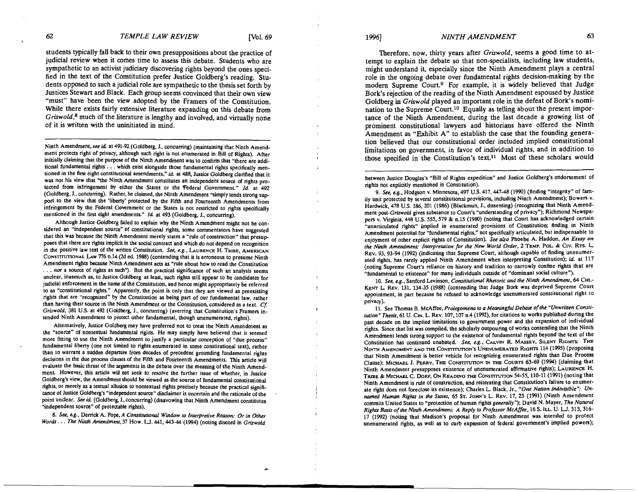students typically fall back to their own presuppositions about the practice of judicial review when it comes time to assess this debate. Students who are sympathetic to an activist judiciary discovering rights beyond the ones specified in the text of the Constitution prefer Justice Goldberg's reading. Students opposed to such a judicial role are sympathetic to the thesis set forth by Justices Stewart and Black. Each group seems convinced that their own view "must" have been the view adopted by the Framers of the Constitution. While there exists fairly extensive literature expanding on this debate from **Griswold?** much of the literature is lengthy and involved, and virtually none of it is written with the uninitiated in mind.

Nith Amendment, *see* id at 491-92 (Goldberg. J.. concurring) (maintaining that Ninth Amendment protects right of privacy, although such right is not enumerated in Bill of Rights). After initially claiming that the purpose of the Ninth Amendment was to confirm that "there are additional fundamental rights. . . which exist alongside those fundamental rights specifically mentioned in the first eight constitutional amendments." *id* at 488. Justice Goldberg clarified that it was not his view that "the Ninth Amendment constitutes an independent source of rights protected from infringement by either the States or the Federal Government." *Id* at 492 (Goldberg. J.. concurring). Rather, he claimed, the Ninth Amendment "simply lends strong sup port to the view that the 'liberty' protected by the Fifth and Fourteenth Amendments from infringement by the Federal Government or the States is not restricted to rights specifically mentioned in the first eight amendments." Id. at 493 (Goldberg, J., concurring).

Although Justice Goldberg failed to explain why the Ninth Amendment might not be considered an "independent source" of constitutional rights. some commentators have suggested that this was because the Ninth Amendment merely states a "rule of construction" that presup poses that there are rights implicit in the social contract and which do not depend on recognition in the positive law text of the written Constitution. See, e.g., LAURENCE H. TRIBE, AMERICAN  $C$ ONSTITUTIONAL LAW 776 n.14 (2d ed. 1988) (contending that it is erroneous to presume Ninth Amendment rights because Ninth Amendment acts as "rule about how to read the Constitution . . . *nor* a source of rights as such"). But the practical significance of such an analysis seems unclear, inasmuch as, to Justice Goldberg at least. such rights still appear to be candidates for judicial enforcement in the name of the Constitution, and hence might appropriately be referred to as "constitutional rights." Apparently, the point is only that they are viewed as preexisting rights that are "recognized" by the Constitution as being part of our fundamental law, rather than having their source in the Ninth Amendment or the Constitution, considered as a text. *Cf*  Griswold, 381 U.S. at 492 (Goldberg, J., concurring) (averring that Constitution's Framers intended Ninth Amendment to protect other fundamental, though unenumerated, rights).

Alternatively, Justice Goldberg may have preferred not to treat the Ninth Amendment as the "source" of nontextual fundamental rights. He may simply have believed that it seemed more fitting to use the Ninth Amendment to justify a particular conception of "due process" fundamental liberty (one not limited to rights enumerated in some constitutional text), rather than to warrant a sudden departure from decades of precedent grounding fundamental rights decisions in the due process clauses of the Fifth and Fourteenth Amendments. This article will evaluate the basic thrust of the arguments in the debate over the meaning of the Ninth Amendment. However, this article will not seek to resolve the further issue of whether, in Justice Goldberg's view, the Amendment should be viewed as the source of fundamental constitutional rights, or merely as a textual allusion to nontextual rights precisely because the practical significance of Justice Goldberg's "independent source" disclaimer is uncertain and the rationale of the point unclear. *See* id (Goldberg, J.. concurring) (disavowing that Ninth Amendment constitutes "independent source" of protectable rights).

8. See, e.g., Derrick A. Pope, *A Constitutional Window to Interpretive Reason: Or in Other Words* . . . *The Ninth Amendment*, 37 How. L.J. 441, 443-44 (1994) (noting discord in *Griswold* 

Therefore, now, thirty years after Griswold, seems a good time to attempt to explain the debate so that non-specialists, including law students, might understand it, especially since the Ninth Amendment plays a central role in the ongoing debate over fundamental rights decision-making by the modern Supreme Court.<sup>9</sup> For example, it is widely believed that Judge Bork's rejection of the reading of the Ninth Amendment espoused by Justice Goldberg in *Griswold* played an important role in the defeat of Bork's nomination to the Supreme Court.<sup>10</sup> Equally as telling about the present importance of the Ninth Amendment, during the last decade a growing list of prominent constitutional lawyers and historians have offered the Ninth Amendment as "Exhibit A" to establish the case that the founding generation believed that our constitutional order included implied constitutional limitations on government, in favor of individual rights, and in addition to those specified in the Constitution's text.<sup>11</sup> Most of these scholars would

between Justice Douglas's "Bill of Rights expedition" and Justice Goldberg's endorsement of rights not explicitly mentioned in Constitution).

9. *See, e.g., Hodgson v. Minnesota, 497 U.S. 417, 447-48 (1990) (finding "integrity" of fam*ily unit protected by several constitutional provisions, including Ninth Amendment); Bowers v. Hardwick, 478 U.S. 186, 201 (1986) (Blackmun, J., dissenting) (recognizing that Ninth Amendment post-Griswold gives substance to Court's "understanding of privacy"); Richmond Newspapers v. Virginia, 448 U.S. 555, 579 & n.15 (1980) (noting that Court has acknowledged certain "unarticulated rights" implied in enumerated provisions of Constitution; finding in Ninth Amendment potential for "fundamental rights," not specifically articulated, but indispensable to enjoyment of other explicit rights of Constitution). *See also* Phoebe A. Haddon. *An Essay on the Ninth Amendment Interpretation for the* **New** *World Order, 2* TEMP. POL & CIV. RTS. REV. 93,93-94 (1992) (indicating that Supreme Court. although capable of finding unenumerated rights, has rarely applied Ninth Amendment when interpreting Constitution); id. at 117 (noting Supreme Court's reliance on history and tradition to narrowly confine rights that are "fundamental to existence" for many individuals outside of "dominant social culture").

10. See, e.g., Sanford Levinson, *Constitutional Rhetoric and the Ninth Amendment*, 64 CHI.-KENT L REV. 131, 134-35 (1988) (contending that Judge Bork was deprived Supreme Court appointment, in part because he refused to acknowledge unenumerated constitutional right to privacy).

11. See Thomas **8.** McAffee. *Prolegomena ro a Meaningful Debale of the "Unwritten Corntirution" Thesu.* 61 U. CIN. L. REV. 107.107 n.4 (1992), for citations to works published during the past decade on the implied limitations to government power and the expansion of individual rights. Since that list was compiled, the scholarly outpouring of works contending that the Ninth Amendment lends strong support to the existence of fundamental rights beyond the text of the Constitution has continued unabated. See, e.g., CALVIN R. MASSEY, SILENT RIGHTS: THE NINTH AMENDMENT AND THE CONSTITUTION'S UNENUMERATED RIGHTS 114 (1995) (proposing that Ninth Amendment is better vehide for recognizing enumerated rights than Due Process Clause); MICHAEL J. PERRY, THE CONSTITUTION IN THE COURTS 63-69 (1994) (claiming that Ninth Amendment presupposes existence of unenumerated affirmative rights); LAURENCE H. TRIBE & MICHAEL C. DORF, ON READING THE CONSTITUTION 54-55, 110-11 (1991) (noting that Ninth Amendment is rule of construction, and reiterating that Constitution's failure to enumerate right does not foreclose its existence); Charles L Black, Jr., *"One Nation Indivisible": Un*named Human Rights in the States, 65 ST. JOHN's L. REV. 17, 25 (1991) (Ninth Amendment commits United States to "protection of human rights *generally* "); David N. Mayer, *The Nafurd Righu Baru ofthe Ninth Amendment A Reply to Professor McAffee,* 16 S. ILL U. LJ. 313.316- 17 (1992) (noting that Madison's proposal for Ninth Amendment was intended to protect unenumerated rights, as well as to curb expansion of federal government's implied powers);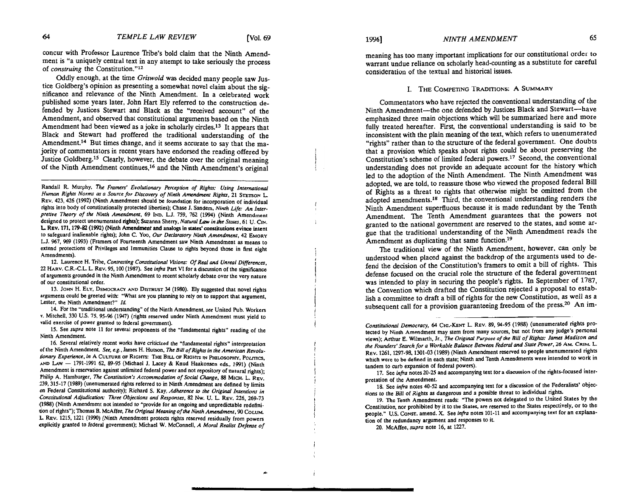concur with Professor Laurence Tribe's bold claim that the Ninth Amendment is "a uniquely central text in any attempt to take seriously the process of *construing* the Constitution."12

Oddly enough, at the time *Griswold* was decided many people saw Justice Goldberg's opinion as presenting a somewhat novel claim about the sienificance and relevance of the Ninth Amendment. In a celebrated work published some years later, John Hart Ely referred to the construction defended by Justices Stewart and Black as the "received account" of the Amendment, and observed that constitutional arguments based on the Ninth Amendment had been viewed as a joke in scholarly circles.13 It appears that Black and Stewart had proffered the traditional understanding of the Amendment.<sup>14</sup> But times change, and it seems accurate to say that the majority of commentators in recent years have endorsed the reading offered by Justice Goldberg.<sup>15</sup> Clearly, however, the debate over the original meaning of the Ninth Amendment continues,16 and the Ninth Amendment's original

12. Laurence H. Tribe, *Contrasting Constitutional Visions: Of Real and Unreal Differences,* 22 HAW. C.R.-C.L. L. REV. 95.100 (1987). See *infro* Part VI for a discussion of the significance of arguments grounded in the Ninth Amendment to recent scholarly debate over the very nature of our constitutional order.

13. JOHN H. ELY. DEMOCRACY **AND** DISTRUST **34** (1980). EIy suggested that novel rights arguments could be greeted with: 'What are you planning to rely on to support that argument. Lester, the Ninth Amendment?" Id.

14. For the "traditional understanding" of the Ninth Amendment, *see* United Pub. Workers v. Mitchell, 330 U.S. 75, 95-% (1947) (rights reserved under Ninth Amendment must yield to valid exercise of power granted to federal government).

15. See *supra* note 11 for several proponents of the "fundamental rights" reading of the Ninth Amendment.

16. Several relatively recent works have criticized the "fundamental rights" interpretation of the Ninth Amendment *See, e.g..* James H. Hutson, *The Bill of Righu* **in** *the Americm Revolutionary Experience, in* A CULTURE OF RIGHTS: THE BILL OF RIGHTS IN PHILOSOPHY, POLITICS, **AND** LAW - 1791-1991 62, 89-95 (Michael J. Lacey & Knud Haakonsen eds.. 1991) (Ninth Amendment is reservation against unlimited federal power and not repository of natural rights); Philip A. Hamburger, *The Constitution's Accommodation of Social Change*, 88 MICH. L. REV. 239,315-17 (1989) (unenumerated rights referred to in Ninth Amendment are defined by limits on Federal Constitutional authority); Richard S. Kay, Adherence to the Original Intentions in *Constitutional Adjudication: Three Objections and Responses, 82 Nw. U. L. REV. 226, 269-73* (1988) (Ninth Amendment not intended to "provide for an ongoing and unpredictable redefinition of rights"); 'lhomas B. McAffee, *The Original Memingof the Ninth Amendment. 90* COLUM. *L* REV. 1215. 1221 (1990) (Ninth Amendment protects rights reserved residually from powers explicitly granted to federal government); Michael W. McConnell, A Moral Realist Defense of

meaning has too many important implications for our constitutional order to warrant undue reliance on scholarly head-counting as a substitute for careful consideration of the textual and historical issues.

# I. THE COMPETING TRADITIONS: A SUMMARY

Commentators who have rejected the conventional understanding of the Ninth Amendment-the one defended by Justices Black and Stewart-have emphasized three main objections which will be summarized here and more fully treated hereafter. Fist, the conventional understanding is said to be inconsistent with the plain meaning of the text, which refers to unenurnerated "rights" rather than to the structure of the federal government. One doubts that a provision which speaks about rights could be about preserving the Constitution's scheme of limited federal powers.17 Second, the conventional understanding does not provide an adequate account for the history which led to the adoption of the Ninth Amendment. 'The Ninth Amendment was adopted, we are told, to reassure those who viewed the proposed federal Bill of Rights as a threat to rights that otherwise might be omitted from the adopted amendments.18 Third, the conventional understanding renders the Ninth Amendment superfluous because it is made redundant by the Tenth Amendment. 'The Tenth Amendment guarantees that the powers not granted to the national government are reserved to the states, and some argue that the traditional understanding of the Ninth Amendment reads the Amendment as duplicating that same function.<sup>19</sup>

'The traditional view of the Ninth Amendment, however, can only be understood when placed against the backdrop of the arguments used to defend the decision of the Constitution's framers to omit a bill of rights. This defense focused on the crucial role the structure of the federal government was intended to play in securing the people's rights. In September of 1787, the Convention which drafted the Constitution rejected a proposal to establish a committee to draft a bill of rights for the new Constitution, as well as a subsequent call for a provision guaranteeing freedom of the press.<sup>20</sup> An im-

17. See *infra* notes 20-25 and accompanying text for a discussion of the rights-focused interpretation of the Amendment.

18. See *infra* notes 40-52 and accompanying text for a discussion of the Federalists' objections to the Bill of Rights as dangerous and a possible threat to individual rights.

19. The Tenth Amendment reads: 'The powers not delegated to the United States by the Constitution, nor prohibited by it to the States. are reserved to the States respectively, or to the people." U.S. CONST. amend. X. See *infra* notes 101-11 and accompanying text for an explanation of the redundancy argument and responses to it

20. McAffee, *supra* note 16. at 1227.

Randall R. Murphy, *The Framers' Evolutionary Perception of Rights: Using International Human Rights Norms as a Source for Discovery of Ninth Amendment Rights,* 21 STETSON L. REV. 423. 426 (1992) (Ninth Amendment should be foundation for incorporation of individual rights into body of constitutionally protected liberties); Chase J. Sanders. *Nhh Life: An Interpretive Theory of the Ninth Amendment,* 69 IND. L.J. 759. 762 (1994) (Ninth Amendment designed to protect unenumerated rights); Suzanna Sherry, *Natural Law in the States*, 61 U. Cm. L REV. 171.179-82 (1992) (Ninth Amendment and analogs in **states'** constitutions evince intent to safeguard inalienable rights); John C. **Yoo,** *Our Declnratory Ninth Ammdmet,* 42 EMORY LJ. %7, %9 (1993) (Framers of Fourteenth Amendment saw Ninth Amendment **as** means to extend protections of Privileges and Immunities Clause to rights beyond those in first eight Amendments).

*Comtincrional Democracy,* **61** CHI.-KENT L. REV. 89, 94-95 (1988) (unenumerated rights protected by Ninth Amendment may stem from many sources, but not from any judge's personal views); Arthur E. W~lmarth. Jr.. *The Original Purpose of* **lhc** *Bill of Righu: James Madison md the Founders' Search for a Workable BPlanee Between Federal and State Power,* 26 AM. CRIM. **L**  REV. 1261, 1297-98, 1301-03 (1989) (Ninth Amendment reserved to people unenumerated rights which were to be defined in each state; Ninth and Tenth Amendments were intended to work in tandem to curb expansion of federal powers).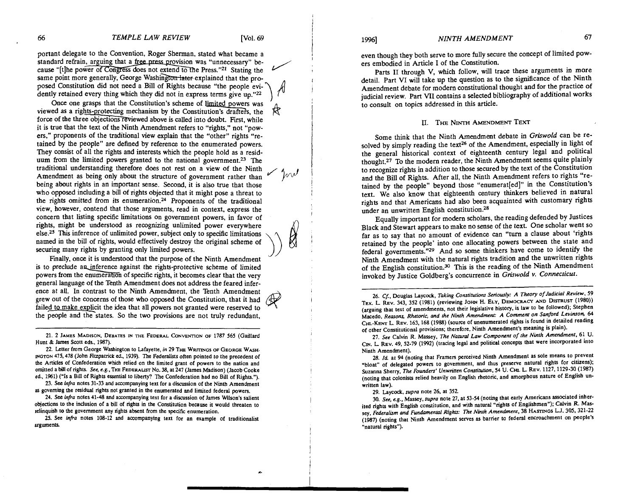/<br>*/*<br>*/* 

w

portant delegate to the Convention, Roger Sherman, stated what became a standard refrain, arguing that a free press provision was "unnecessary" because "[t]he power of Congress does not extend to the Press."<sup>21</sup> Stating the same point more generally, George Washington later explained that the proposed Constitution did not need a Bill of Rights because "the people evidently retained every thing which they did not in express terms give up."22 point more generally, George Washington later explained that the pro-<br>1 Constitution did not need a Bill of Rights because "the people evi-<br>y retained every thing which they did not in express terms give up."<sup>22</sup><br>Once one

Once one grasps that the Constitution's scheme of limited powers was viewed as a rights-protecting mechanism by the Constitution's drafters, the force of the three objections reviewed above is called into doubt. First, whi for the three three three three conventions are three three three three three three three three three three three three three three three terms is three three terms results results above it is called into the press,  $n^21$ it is true that the text of the Ninth Amendment refers to "rights," not "powers," proponents of the traditional view explain that the "other" rights "retained by the people" are defined by reference to the enumerated powers. They consist of all the rights and interests which the people hold as a residuum from the limited powers granted to the national government.<sup>23</sup> The traditional understanding therefore does not rest on a view of the Ninth Amendment as being only about the structure of government rather than being about rights in an important sense. Second, it is also true that those who opposed including a bill of rights objected that it might pose a threat to the rights omitted from its enumeration.<sup>24</sup> Proponents of the traditional view, however, contend that those arguments, read in context, express the concern that listing specific limitations on government powers, in favor of rights, might be understood as recognizing unlimited power everywhere else.25 This inference of unlimited power, subject only to specific limitations named in the bill of rights, would effectively destroy the original scheme of securing many rights by granting only limited powers. Amendment as being only about the structure of government rather than<br>being about rights in an important sense. Second, it is also true that those<br>who opposed including a bill of rights objected that it might pose a threat

Finally, once it is understood that the purpose of the Ninth Amendment is to preclude an inference against the rights-protective scheme of limited general language of the Tenth Amendment does not address the feared inference at all. In contrast to the Ninth Amendment, the Tenth Amendment grew out of the concerns of those who opposed the Constitution, that it had failed to make explicit the idea that all powers not granted were reserved to the people and the states. So the two provisions are not truly redundant,

21. 2 JAMES MADISON, DEBATES m THE FEDERAL CONVENTION OF 1787 565 (Gaillard Hunt & James Scott eds., 1987).

22. Letter from George Washington to Lafayette, in 29 THE WRITINGS OF GEORGE WASH-INGTON 475,478 (John Filzpatrick ed.. 1939). 7le Federalists ohen pointed to the precedent **of**  the Articles of Confederation which relied on the limited grant of powers to the nation and omitted a bill of rights. **See, e.g., THE** FEDERAUST NO. **38,** at 247 (James Madison) (Jacob Cooke ed., 1961) ("Is a Bill of Rights essential to liberty? The Confederation had no Bill of Rights.").

23. See **hfra** notes 31-33 and accompanying text for a discussion of the Ninth Amendment **ar** governing the residual rights not granted in the enumerated and limited federal powers.

24. See infra notes 41-48 and accompanying text for a discussion of James Wilson's salient objections to the inclusion of a bill of rights in the Constitution because it would threaten to relinquish to the government any rights absent from the specific enumeration.

25. See **infra** notes 108-12 and accompanying text for an example of traditionalist arguments.

# 19961 *NINTH AMENDMENT* 67

even though they both serve to more fully secure the concept of limited powers embodied in Article I of the Constitution.

Parts I1 through V, which follow, will trace these arguments in more detail. Part VI will take up the question as to the significance of the Ninth Amendment debate for modem constitutional thought and for the practice of judicial review. Part **VII** contains a selected bibliography of additional works to consult on topics addressed in this article.

### II. THE NINTH AMENDMENT TEXT

Some think that the Ninth Amendment debate in Griswold can be resolved by simply reading the text<sup>26</sup> of the Amendment, especially in light of the general historical context of eighteenth century legal and political thought.<sup>27</sup> To the modern reader, the Ninth Amendment seems quite plainly to recognize rights in addition to those secured by the text of the Constitution and the Bill of Rights. After all, the Ninth Amendment refers to rights "retained by the people" beyond those "enumerat[ed]" in the constitution's text. We also know that eighteenth century thinkers believed in natural rights and that Americans had also been acquzinted with customary rights under an unwritten English constitution.<sup>28</sup>

Equally important for modem scholars, the reading defended by Justices Black and Stewart appears to make no sense of the text. One scholar went so far as to say that no amount of evidence can "turn a clause about 'rights retained by the people' into one allocating powers between the state and federal governments."29 And so some thinkers have come to identify the Ninth Amendment with the natural rights tradition and the unwritten rights of the English constitution.<sup>30</sup> This is the reading of the Ninth Amendment invoked by Justice Goldberg's concurrence in Griswold v. Connecticut.

26. Cf., Douglas Laycock, Taking Constitutions Seriously: A Theory of Judicial Review, 59 TEX. **L** REV. 343. 352 (1981) (reviewing JOHN H. ELY, DEMOCRACY AND DISTRUST (1980)) (arguing that text of amendments, not their legislative history, is law to be followed); Stephen Macedo, Reasons, Rhetoric, and the Ninth Amendment: A Comment on Sanford Levinson, 64 CHI.-KENT L. REV. 163, 168 (1988) (source of unenumerated rights is found in detailed reading of other Constitutional provisions; therefore, Ninth Amendment's meaning is plain).

27. See Calvin R. Massey, The Natural Law Component of the Ninth Amendment, 61 U. Cm. **L** REV. 49. 52-79 (1992) (tracing legal and political concepts that were incorporated into Ninth Amendment).

28. **Id.** at 94 (noting that Framers perceived Ninth Amendment as sole means to prevent 'bloat" of delegated powers to government, and thus preserve natural rights for citizens); Suzanna Sherry, *The Founders' Unwritten Constitution*, 54 U. CHI. L. REV. 1127, 1129-30 (1987) (noting that colonists relied heavily on English rhetoric, and amorphous nature of English unwritten law).

29. Laycock, **supra** note 26. at 352.

30. **See, e.g.,** Massey, **supra** note 27, at 53-54 (noting that early Americans associated inherited rights with English constitution, and with natural "rights of Englishmen"); Calvin R. Massey, Federalism and Fundamental Rights: The Ninth Amendment, 38 HASTINGS L.J. 305, 321-22 (1987) (noting that Ninth Amendment serves as barrier to federal encroachment on people's "natural rights").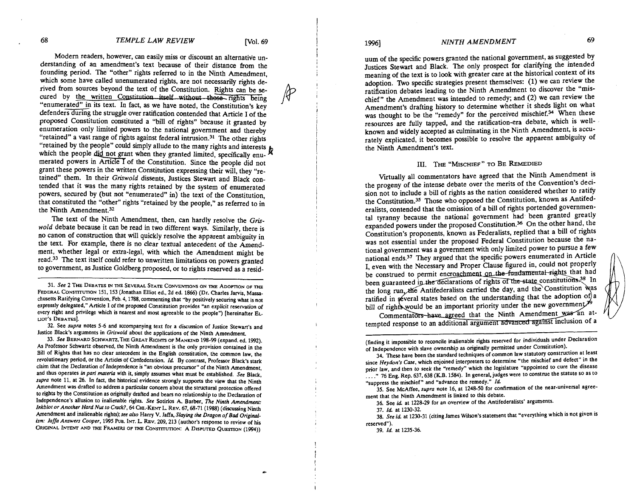Modem readers, however, can easily miss or discount an alternative understanding of an amendment's text because of their distance from the founding period. The "other" rights referred to in the Ninth Amendment, which some have called unenumerated rights, are not necessarily rights derived from sources beyond the text of the Constitution. Rights can be secured by the written Constitution itself without those rights being "enumerated" in its text. In fact, as we have noted, the Constitution's key defenders during the struggle over ratification contended that Article I of the proposed Constitution constituted a "bill of rights" because it granted by enumeration only limited powers to the national government and thereby "retained" a vast range of rights against federal intrusion.<sup>31</sup> The other rights "retained by the people" could simply allude to the many rights and interests which the people which the people of rights against federal intrusion.<sup>31</sup> The other rights "retained by the people" could simply allude to the many rights and interests which the people did not grant when they granted li merated powers in Article  $\overline{I}$  of the Constitution. Since the people did not grant these powers in the written Constitution expressing their will, they "retained" them. In their *Griswold* dissents, Justices Stewart and Black contended that it was the many rights retained by the system of enumerated powers, secured by (but not "enumerated" in) the text of the Constitution, that constituted the "other" rights "retained by the people," as referred to in the Ninth Amendment.<sup>32</sup>

The text of the Ninth Amendment, then, can hardly resolve the *Griswold* debate because it can be read in two different ways. Similarly, there is no canon of construction that will quickly resolve the apparent ambiguity in the text. For example, there is no clear textual antecedent of the Amendment, whether legal or extra-legal, with which the Amendment might be read.33 The text itself could refer to unwritten limitations on powers granted to government, as Justice Goldberg proposed, or to rights reserved as a resid-

31. See 2 THE DEBATES IN THE SEVERAL STATE CONVENTIONS ON THE ADOPTION OF THE FEDERAL CONSTITUTION 151, 153 (Jonathan Elliot ed., 2d ed. 1866) (Dr. Charles Jarvis, Massachusetts Ratifying Convention, Feb. 4,1788. commenting that "by positively securing what is not expressly delegated," Article I of the proposed Constitution provides "an explicit reservation of every right and privilege which is nearest and most agreeable to the people") [hereinafter EL-LIOT'S DEBATES.

32. See **supra** notes 5-6 and accompanying text for a discussion of Justice Stewart's and Justice Black's arguments in **Grirwold** about the applications of the Ninth Amendment.

33. See BERNARD SCHWARTZ, THE GREAT RIGHTS OF MANKIND 198-99 (expand. ed. 1992). As Professor Schwartz observed, the Ninth Amendment is the only provision contained in the Bill of Rights that has no clear antecedent in the English constitution, the common law, the revolutionary period, or the Articles of Confederation. Id. By contrast, Professor Black's stark claim that the Declaration of Independence is "an obvious precursor" of the Ninth Amendment, and thus operates in pari materia with it, simply assumes what must be established. See Black, **supra** note 11, at 26. In fact, the historical evidence strongly supports the view that the Ninth Amendment was drafted to address a particular concern about the structural protection offered to rights by the Constitution as originally drafted and bears no relationship to the Declaration of Independence's allusion to inalienable rights. See Sotirios A. Barber, The Ninth Amendment: Inkblot or Another Hard Nut to Crack?, 64 CHI.-KENT L. REV. 67, 68-71 (1988) (discussing Ninth Amendment and inalienable rights); see also Harry V. Jaffa, Slaying the Dragon of Bad Original**ism: Jaffa Answers Cooper.** 1995 Pus. Im. **L** REV. 209.213 (author's response to review of his ORIGINAL INTENT AND THE FRAMERS OF THE CONSTITUTION: A DISPUTED QUESTION (1994))

# <sup>19961</sup>*NINTH AMENDMENT* <sup>69</sup>

uum of the specific powers granted the national government, as suggested by Justices Stewart and Black. The only prospect for clarifying the intended meaning of the text is to look with greater care at the historical context of its adoption. Two specific strategies present themselves:  $(1)$  we can review the ratification debates leading to the Ninth Amendment to discover the "mischief" the Amendment was intended to remedy; and (2) we can review the Amendment's drafting history to determine whether it sheds light on what was thought to be the "remedy" for the perceived mischief.<sup>34</sup> When these resources are fully tapped, and the ratification-era debate, which is wellknown and widely accepted as culminating in the Ninth Amendment, is accurately explicated, it becomes possible to resolve the apparent ambiguity of the Ninth Amendment's text.

#### **111. THE** "MISCHIEF" TO BE REMEDIED

Virtually all commentators have agreed that the Ninth Amendment is the progeny of the intense debate over the merits of the Convention's decision not to include a bill of rights as the nation considered whether to ratify the Constitution.35 Those who opposed the Constitution, known as Antifederalists, contended that the omission of a bill of rights portended governmental tyranny because the national government had been granted greatly expanded powers under the proposed Constitution.36 On the other hand, the Constitution's proponents, known as Federalists, replied that a bill of rights was not essential under the proposed Federal Constitution because the national government was a government with only limited power to pursue a few national ends.<sup>37</sup> They argued that the specific powers enumerated in Article I, even with the Necessary and Proper Clause figured in, could not properly be construed to permit encroachment on the fundamental rights that had been guaranteed in the declarations of rights of the state constitutions.<sup>38</sup> In the long run, the Antifederalists carried the day, and the Constitution was ratified in several states based on the understanding that the adoption of  $a$ bill of rights would be an important priority under the new government.<sup>26</sup>

Commentators have agreed that the Ninth Amendment was an attempted response to an additional argument advanced against inclusion of a

(finding it impossible to reconcile inalienable rights reserved for individuals under Declaration of Independence with slave ownership as originally permitted under Constitution).

35. See McAffee. **supra** note 16, at 1248-50 for confinnation of the near-universal agreement that the Ninth Amendment is linked to this debate.

36. See id. at 1228-29 for an overview of the Antifederalists' arguments.

37. **Id** at 1230-32.

38. **See id** at 1230-31 (citing James Wilson's statement that 'everything which is not given is reserved").

39. **Id.** at 1235-36.

<sup>34.</sup> These have been the standard techniques of common law statutory construction at least since **Heydon's Case,** which enjoined interpreters to determine 'the mischief and defect" in the prior law, and then to seek the 'remedy" which the legislature "appointed to cure the disease . . . ." 76 Eng. Rep. 637.638 (K.B. 1584). In general, judges were to construe the statute so as to 'suppress the mischief" and "advance the remedy." **Id.**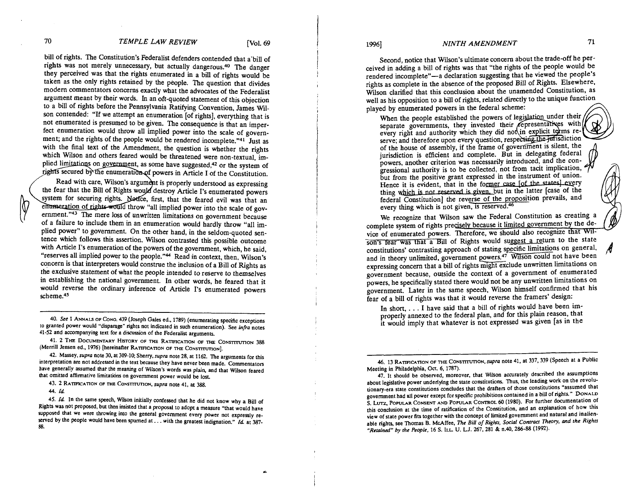# **19961** *NINTH AMENDMENT 71*

Second, notice that Wilson's ultimate concern about the trade-off he perceived in adding a bill of rights was that "the rights of the people would be rendered incomplete"-a declaration suggesting that he viewed the people's rights as complete in the absence of the proposed Bill of Rights. Elsewhere. Wilson clarified that this conclusion about the unamended Constitution, as well as his opposition to a bill of rights, related directly to the unique function

played by enumerated powers in the federal scheme:<br>When the people established the powers of legislation under their separate governments, they invested their representatives with every right and authority which they did not in explicit terms reserve; and therefore upon every question, respecting the jurisdiction of the house of assembly, if the frame of government is silent, the jurisdiction is efficient and complete. But in delegating federal powers, another criterion was necessarily introduced, and the congressional authority is to be collected, not from tacit implication, but from the positive grant expressed in the instrument of union. Hence it is evident, that in the former case [of the states] every thing which is not reserved is given, but in the latter [case of the federal Constitution] the reverse of the proposition prevails, and every thing which is not given, is reserved.<sup>46</sup>

We recognize that Wilson saw the Federal Constitution as creating a complete system of rights precisely because it limited government by the device of enumerated powers. Therefore, we should also recognize that Wilson's fear was that a Bill of Rights would suggest a return to the state constitutions' contrasting approach of stating specific limitations on general, and in theory unlimited, government powers.<sup>47</sup> Wilson could not have been expressing concern that a bill of rights might exclude unwritten limitations on government because, outside the context of a government of enumerated powers, he specifically stated there would not be any unwritten limitations on government. Later in the same speech, Wllson himself confirmed that his fear of a bill of rights was that it would reverse the framers' design:

In short,  $\dots$  I have said that a bill of rights would have been improperly annexed to the federal plan, and for this plain reason, that it would imply that whatever is not expressed was given [as in the

**46. 13** RATIFICA~ON OF **THE** Co~smvno~, *supra* note **41,** at **337,339** (Speech at a Public Meeting in Philadelphia, **Oct. 6. 1787).** 

47. It should be observed, moreover, that Wilson accurately described the assumptions about legislative power underlying the state constitutions. Thus, the leading work on the revolutionary-era state constitutions concludes that the drafters of those constitutions "assumed that government had all power except for specific prohibitions contained in a bill of rights." DONALD S. Lvrz. POPULAR CONSENT AND POPULAR CONTROL 60 **(1980).** For further documentation of this conclusion at the time of ratification of the Constitution, and an explanation of how this view of state power fits together with the concept of limited government and natural and inalienable rights, see Thomas B. McAffee, *The Bill of Rightr. Social Conrracr Theory,* **and** *the Righrs "Retained" by [he People.* **16** S. ILL **U.** L.J. **267. 281** & **n.40.286-88 (1992).** 

*70 TEMPLE LAW REVIEW* [Vol. *69* 

bill of rights. The Constitution's Federalist defenders contended that a'bill of rights was not merely unnecessary, but actually dangerous.<sup>40</sup> The danger they perceived was that the rights enumerated in a bill of rights would be taken as the only rights retained by the people. 'Ihe question that divides modem commentators concerns exactly what the advocates of the Federalist argument meant by their words. In an oft-quoted statement of this objection to a bill of rights before the Pennsylvania Ratifying Convention, James W11 son contended: "If we attempt an enumeration [of rights], everything that is not enumerated is presumed to be given. The consequence is that an imperfect enumeration would throw all implied power into the scale of government; and the rights of the people would be rendered incomplete."<sup>41</sup> Just as with the final text of the Amendment, the question is whether the rights which Wilson and others feared would be threatened were non-textual, implied limitations on government, as some have suggested,<sup>42</sup> or the system of rights secured by the enumeration of powers in Article I of the Constitution.

Read with care, Wilson's argument is properly understood as expressing the fear that the Bill of Rights would destroy Article I's enumerated powers system for securing rights. Notice, first, that the feared evil was that an enumeration of rights would throw "all implied power into the scale of government."43 The mere loss of unwritten limitations on government because of a failure to include them in an enumeration would hardly throw "all implied power" to government. On the other hand, in the seldom-quoted sentence which follows this assertion. Wilson contrasted this possible outcome with Article I's enumeration of the powers of the government, which, he said, "reserves all implied power to the people."<sup>44</sup> Read in context, then, Wilson's concern is that interpreters would construe the inclusion of a Bill of Rights as the exclusive statement of what the people intended to reserve to themselves in establishing the national government. In other words, he feared that it would reverse the ordinary inference of Article 1's enumerated powers scheme.45

- - **40.** *See* **1** ANNAU OF CONG. **439** (Joseph Gales ed.. **1789)** (enumerating specific exceptions to granted power would "disparage" rights not indicated in such enumeration). See **infra** notes **41-52** and accompanying text for a discussion of the Federalist arguments.

**41. 2 THE DOCUMENTARY HISTORY OF THE RATIFICATION OF THE CONSTITUTION 388** (Merrill Jensen ed., 1976) [hereinafter RATIFICATION OF THE CONSTITUTION].

**42.** Massey, *supra* note **30,** at **309-10;** Sherry, *supra* note **28,** at **1162.** The arguments for this interpretation are not addressed in the text because they have never been made. Commentators have generally assumed that the meaning of Wilson's words was plain. and that Wilson feared that omitted affirmative limitations on government power would be lost.

**43. 2** RATIFICATION OF **THE** CONSTITUTION, *supra* note **41,** at **388.** 

**44. Cd** 

**45. Cd** In the same speech, Wilson initially confessed that he did not know why a Bill of Rights was not proposed, but then insisted that a proposal to adopt a measure "that would have supposed that we were throwing into the general government every power not expressly reserved by the people would have been spurned at . . . with the greatest indignation." *Id.* at 387-**88.** 

**A**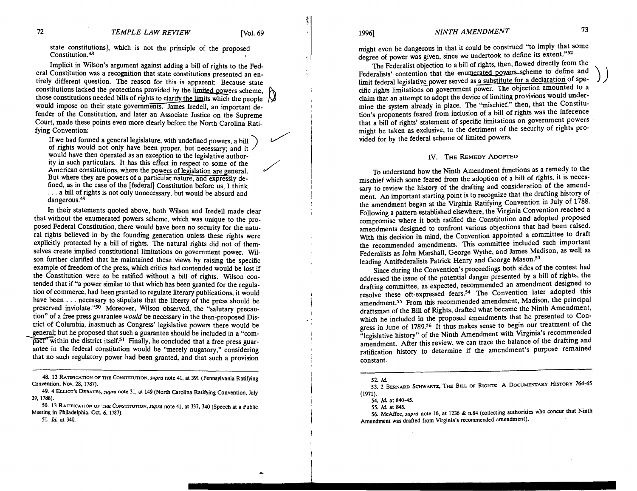$)$ 

 $\overline{a}$ 

state constitutions], which is not the principle of the proposed Constitution.<sup>48</sup>

Implicit in Wilson's argument against adding a bill of rights to the Federal Constitution was a recognition that state constitutions presented an entirely different question. The reason for this is apparent: Because state constitutions lacked the protections provided by the limited powers scheme, those constitutions needed bills of rights to clarify the limits which the people  $\bigtriangledown$ would impose on their state governments. James Iredell, an important de-<br>fender of the Constitution, and later an Associate Justice on the Supreme<br>Court, made these points even more clearly before the North Carolina Rati-<br> fender of the Constitution, and later an Associate Justice on the Supreme Court, made these points even more clearly before the North Carolina Rati-

If we had formed a general legislature, with undefined powers, a bill of rights would not only have been proper, but necessary; and it would have then operated as an exception to the legislative author ity in such particulars. It has this effect in respect to some of the American constitutions, where the powers of legislation are general. But where they are powers of a particular nature, and expressly defined, as in the case of the [federal] Constitution before us, I think  $\ldots$  a bill of rights is not only unnecessary, but would be absurd and dangerous.<sup>49</sup>

In their statements quoted above, both Wilson and Iredell made clear that without the enumerated powers scheme, which was unique to the proposed Federal Constitution, there would have been no security for the natural rights believed in by the founding generation unless these rights were explicitly protected by a bill of rights. The natural rights did not of themselves create implied constitutional limitations on government power. Wilson further clarified that he maintained these views by raising the specific example of freedom of the press, which critics had contended would be lost if the Constitution were to be ratified without a bill of rights. Wilson contended that if "a power similar to that which has been granted for the regulation of commerce, had been granted to regulate literary publications, it would have been . . . necessary to stipulate that the liberty of the press should be preserved inviolate."<sup>50</sup> Moreover, Wilson observed, the "salutary precaution" of a free press guarantee **would** be necessary in the then-proposed Dis- <sup>I</sup> trict of Columbia, inasmuch as Congress' legislative powers there would be general; but he proposed that such a guarantee should be included in a "com- $\overline{pact}$  within the district itself.<sup>51</sup> Finally, he concluded that a free press guarantee in the federal constitution would be "merely nugatory," considering that no such regulatory power had been granted, and that such a provision

1996]

## *NINTH AMENDMENT*

might even be dangerous in that it could be construed "to imply that some degree of power was given, since we undertook to define its extent."<sup>52</sup>

The Federalist objection to a bill of rights, then, flowed directly from the Federalists' contention that the enumerated powers scheme to define and limit federal legislative power served as a substitute for a declaration of specific rights limitations on government power. The objection amounted to a claim that an attempt to adopt the device of limiting provisions would undermine the system already in place. The "mischief," then, that the Constitution's proponents feared from inclusion of a bill of rights was the inference that a bill of rights' statement of specific limitations on government powers might be taken as exclusive, to the detriment of the security of rights provided for by the federal scheme of limited powers.

#### **IV.** THE **REMEDY ADOPTED**

To understand how the Ninth Amendment functions as a remedy to the mischief which some feared from the adoption of a bill of rights, it is necessary to review the history of the drafting and consideration of the amendment. An important starting point is to recognize that the drafting history of the amendment began at the Virginia Ratifying Convention in July of 1788. Following a pattern established elsewhere, the Virginia Convention reached a compromise where it both ratified the Constitution and adopted proposed amendments designed to confront various objections that had been raised. With this decision in mind, the Convention appointed a committee to draft the recommended amendments. This committee included such important Federalists as John Marshall, George Wythe, and James Madison, as well as leading Antifederalists Patrick Henry and George Mason.<sup>53</sup>

Since during the Convention's proceedings both sides of the contest had addressed the issue of the potential danger presented by a bill of rights, the drafting committee, as expected, recommended an amendment designed to resolve these oft-expressed fears.54 The Convention later adopted this amendment.55 From this recommended amendment, Madison, the principal draftsman of the Bill of Rights, drafted what became the Ninth Amendment, which he included in the proposed amendments that he presented to Congress in June of 1789.<sup>56</sup> It thus makes sense to begin our treatment of the "legislative history" of the Ninth Amendment with Viginia's recommended amendment. After this review, we can trace the balance of the drafting and ratification history to determine if the amendment's purpose remained constant.

**<sup>48. 13</sup> RATIFICATION OF THE CONSTITUTION, supra note 41, at 391 (Pennsylvania Ratifying** *Convention, Nov. 28. 1787***).** 

**<sup>49. 4</sup> ELUOT'S DEBATES.** *supra* **note 31. at 149 (North Carolina Ratifying Convention. July 29. 1788).** 

<sup>50. 13</sup> RATIFICATION OF THE CONSTITUTION, *supra* note 41, at 337, 340 (Speech at a Public **Meeting in Philadelphia, Oct. 6. 1787).** 

**<sup>51.</sup>** *Id* **at 340.** 

**<sup>52.</sup>** *Id* 

**<sup>53. 2</sup> BERNARD SCHWARTZ, THE BILL OF RIGHTS: A DOCUMEHTARY HISTORY 764-65 (1971).** 

**<sup>54.</sup>** *Id.* **at 840-45.** 

**<sup>55.</sup>** *Id* **at 845. 56. McAffee,** *supra* **note 16, at 1236** & **n.84 (collecting authorities who concur that Ninth Amendment was drafted from Virginia's recommended amendment).**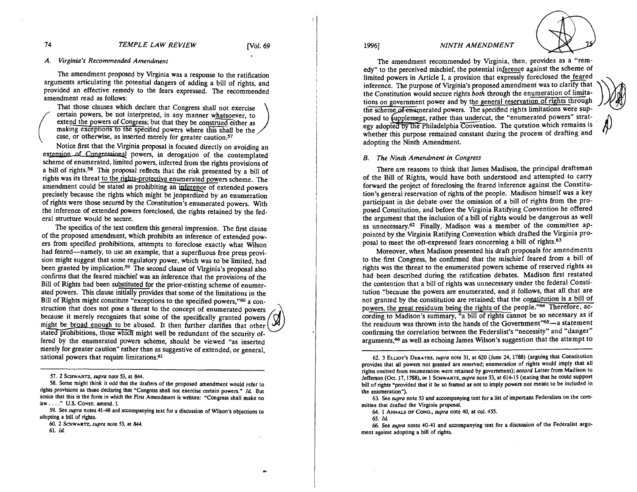*74 TEMPLE LAW REVIEW* [Vol. *69* 

## *A. Virginia's Recommended Amendment*

The amendment proposed by Virginia was a response to the ratification arguments articulating the potential dangers of adding a bill of rights, and provided an effective remedy to the fears expressed. The recommended amendment read as follows:

That those clauses which declare that Congress shall not exercise certain powers, be not interpreted, in any manner whatsoever, to extend the powers of Congress; but that they be construed either as making exceptions to the specified powers where this shall be the case, or otherwise, as inserted merely for greater caution.<sup>57</sup>

Notice first that the Virginia proposal is focused directly on avoiding an extension of Congressional powers, in derogation of the contemplated scheme of enumerated, limited powers, inferred from the rights provisions of a bill of rights.58 This proposal reflects that the risk presented by a bill of rights was its threat to the rights-protective enumerated powers scheme. The certain powers, be not interpreted, in any manner whatsoever, to<br>extend the powers of Congress; but that they be construed either as<br>making exceptions to the specified powers where this shall be the<br>case, or otherwise, as precisely because the rights which might be jeopardized by an enumeration of rights were those secured by the Constitution's enumerated powers. With the inference of extended powers foreclosed, the rights retained by the federal structure would be secure.

The specifics of the text confirm this general impression. The first clause of the proposed amendment, which prohibits an inference of extended powers from specified prohibitions, attempts to foreclose exactly what Wilson had feared--namely, to use an example, that a superfluous free press provision might suggest that some regulatory power, which was to be limited, had been granted by implication.<sup>59</sup> The second clause of Virginia's proposal also confirms that the feared mischief was an inference that the provisions of the Bill of Rights had been substituted for the prior-existing scheme of enumerated powers. This clause initially provides that some of the limitations in the Bill of Rights might constitute "exceptions to the specified powers,"60 a construction that does not pose a threat to the concept of enumerated powers because it merely recognizes that some of the specifically granted powers might be broad enough to be abused. It then further clarifies that other stated prohibitions, those which might well be redundant of the security offered by the enumerated powers scheme, should be viewed "as inserted merely for greater caution" rather than as suggestive of extended, or general, national powers that require limitations.61

**59. See supra notes 41-48 and accompanying text for a discussion of Wilson's objections to adopting a bill of rights.** 

**60. 2 SCHWARTZ. supra note 53. at 844.** 

**61.** *Id* 

1996]



The amendment recommended by Virginia, then, provides as a "remedy" to the perceived mischief, the potential inference against the scheme of limited powers in Article I, a provision that expressly foreclosed the feared inference. The purpose of Virginia's proposed amendment was to clarify that the Constitution would secure rights *both* through the enumeration of limitations on government power and by the general reservation of rights through the scheme of enumerated powers. The specified rights limitations were supegy adopted by the Philadelphia Convention. The question which remains is whether this purpose remained constant during the process of drafting and posed to fupplement, rather than undercut, the "enumerated powers" stratadopting the Ninth Amendment.

#### *B. The Ninth Amendment in Congress*

There are reasons to think that James Madison, the principal draftsman of the Bill of Rights, would have both understood and attempted to carry forward the project of foreclosing the feared inference against the Constitution's general reservation of rights of the people. Madison himself was a key participant in the debate over the omission of a bill of rights from the proposed Constitution, and before the Virginia Ratifying Convention he offered the argument that the inclusion of a bill of rights would be dangerous as well as unnecessary.<sup>62</sup> Finally, Madison was a member of the committee appointed by the Virginia Ratifying Convention which drafted the Virginia proposal to meet the oft-expressed fears concerning a bill of rights.63

Moreover, when Madison presented his draft proposals for amendments to the first Congress, he confirmed that the mischief feared from a bill of rights was the threat to the enumerated powers scheme of reserved rights as had been described during the ratification debates. Madison first restated the contention that a bill of rights was unnecessary under the federal Constitution "because the powers are enumerated, and it follows, that all that are not granted by the constitution are retained; that the constitution is a bill of powers, the great residuum being the rights of the people."<sup>64</sup> Therefore, according to Madison's summary, "a bill of rights cannot be so necessary as if the residuum was thrown into the hands of the Government"65-a statement confirming the correlation between the Federalist's "necessity" and "danger" arguments,66 as well as echoing James Wilson's suggestion that the attempt to

**65.** *Id* 

66. See *supra* notes 40-41 and accompanying text for a discussion of the Federalist argu**ment against adopting a bill of rights.** 

**<sup>57. 2</sup> SCHWARTZ, supra note 53. at 844.** 

**<sup>58.</sup> Some might think it odd that the draften of the proposed amendment would refer to rights provisions as those declaring that "Congress shall not exercise certain powers."** *Id* **But notice that this is the form in which the Fint Amendment is written: "Congress shall make no law.** . . ." **U.S. CONST. amend. I.** 

**<sup>62. 3</sup> ELLIOT'S DEBATES, supra note 31, at 620 (June 24. 1788) (arguing that Constitution provides that all powers not granted are reserved; enumeration of rights would imply that all rights omitted from enumeration were retained by government); accord Letter from Madison to Jefferson (Oct. 17.1788). in 1 Scxw~~~z,supra note 53, at 614-15 (stating that he could support bill of rights "provided that it be so framed as not to imply powen not meant to be included in the enumeration").** 

<sup>63.</sup> See supra note 53 and accompanying text for a list of important Federalists on the com**mittee that drafted the Virginia proposal.** 

**<sup>64. 1</sup> ANN- OF CONG.. supra note 40, at col. 455.**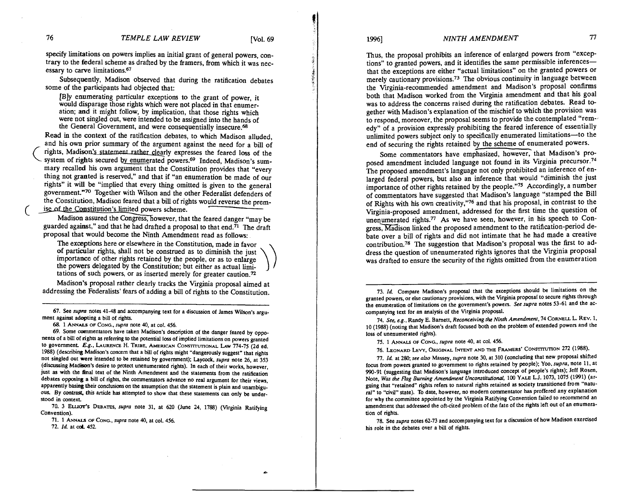specify limitations on powers implies an initial grant of general powers, contrary to the federal scheme as drafted by the framers, from which it was necessary to carve limitations.<sup>67</sup>

Subsequently, Madison observed that during the ratification debates some of the participants had objected that:

**[B]y** enumerating particular exceptions to the grant of power, it would disparage those rights which were not placed in that enumeration: and it might follow, by implication, that those rights which were not singled out, were intended to be assigned into the hands of the General Government, and were consequentially insecure.<sup>68</sup>

Read in the context of the ratification debates, to which Madison alluded, and his own prior summary of the argument against the need for a bill of rights, Madison's statement rather clearly expresses the feared loss of the system of rights secured by enumerated powers.<sup>69</sup> Indeed, Madison's summary recalled his own argument that the Constitution provides that "every thing not granted is reserved," and that if "an enumeration be made of our rights" it will be "implied that every thing omitted is given to the general government."70 Together with Wilson and the other Federalist defenders of the Constitution, Madison feared that a bill of rights would reverse the premise of the Constitution's limited powers scheme.

Madison assured the Congress, however, that the feared danger "may be guarded against," and that he had drafted a proposal to that end. $\overline{71}$  The draft proposal that would become the Ninth Amendment read as follows:

The exceptions here or elsewhere in the Constitution, made in favor of particular rights, shall not be construed as to diminish the just importance of other rights retained by the people, or as to enlarge the powers delegated by the Constitution; but either as actual limitations of such powers, or as inserted merely for greater caution.<sup>72</sup>

Madison's proposal rather clearly tracks the Virginia proposal aimed at addressing the Federalists' fears of adding a bill of rights to the Constitution.

67. See *supra* notes 41-48 and accompanying text for a discussion of James Wilson's argument against adopting a bill of rights.

68. 1 ANNALS OF CONG., *supra* note 40, at col. 456.

69. Some commentators have taken Madison's description of the danger feared by opponents of a bill of rights as referring to the potential **loss** of implied limitations on powers granted to government. E.g., LAURENCE H. TRIBE, AMERICAN CONSTITUTIONAL LAW 774-75 (2d ed. 1988) (describing Madison's concern that a bill of rights might 'dangerously suggest" that rights not singled out were intended to **be** retained by government); Laycock. **supra** note 26, at 353 (discussing Madison's desire to protect unenumerated rights). In each of their works, however, just as with the final text of the Ninth Amendment and the statements from the ratification debates opposing a bill of rights, the commentators advance no real argument for their view, apparently basing their conclusions on the assumption that the statement is plain and unambiguous. By contrast, this article has attempted to show that these statements can only be understood in context

70. 3 ELLIOT's DEBATES, *supra* note 31, at 620 (June 24, 1788) (Virginia Ratifying Convention).

71. 1 ANNALS OF CONG., supra note 40, at col. 456.

72. *Id* at **coL** 452.

Thus, the proposal prohibits an inference of enlarged powers from "exceptions" to granted powers, and it identifies the same permissible inferencesthat the exceptions are either "actual limitations" on the granted powers or merely cautionary provisions.73 The obvious continuity in language between the Virginia-recommended amendment and Madison's proposal confirms both that Madison worked from the Virginia amendment and that his goal was to address the concerns raised during the ratification debates. Read together with Madison's explanation of the mischief to which the provision was to respond, moreover, the proposal seems to provide the contemplated "remedy" of a provision expressly prohibiting the feared inference of essentially unlimited powers subject only to specifically enumerated limitations-to the end of securing the rights retained by the scheme of enumerated powers.

Some commentators have emphasized, however, that Madison's proposed amendment included language not found in its Virginia precursor.74 The proposed amendment's language not only prohibited an inference of enlarged federal powers, but also an inference that would "diminish the just importance of other rights retained by the people."<sup>75</sup> Accordingly, a number of commentators have suggested that Madison's language "stamped the Bill of Rights with his own creativity,"76 and that his proposal, in contrast to the Virginia-proposed amendment, addressed for the first time the question of unenumerated rights.77 AS we have seen, however, in his speech to Congress. Madison linked the proposed amendment to the ratification-period debate over a bill of rights and did not intimate that he had made a creative contribution.78 The suggestion that Madison's proposal was the first to address the question of unenumerated rights ignores that the Virginia proposal was drafted to ensure the security of the rights omitted from the enumeration

74. **See, e.g.,** Randy **E.** Barnett, **Reconceiving the Ninth Amendmem,** 74 CORNELL L. REV. 1, 10 (1988) (noting that Madison's draft focused both on the problem of extended powers and the loss of unenumerated rights).

75. 1 ANNALS OF CONG.. **supra** note 40, at col. 456.

76. LEONARD LEVY, ORIGINAL INTENT AND THE FRAMERS' CONSTITUTION 272 (1988).

77. *Id* at 280; **see a&o** Massey, **supra** note 30, at 310 (concluding that new proposal shifted focus from powers granted to government to rights retained by people); Yoo, **supra,** note 11, at 990-91 (suggesting that Madison's language introduced concept of people's rights); Jeff Rosen, Note, Was the Flag Burning Amendment Unconstitutional, 100 YALE L.J. 1073, 1075 (1991) (arguing that "retained" rights refers to natural rights retained as society transitioned from "natural" to "civil" state). To date. however, no modern commentator has proffered any explanation for why the committee appointed by the Virginia Ratifying Convention failed to recommend an amendment that addressed the oft-cited problem of the fate of the rights left out of an enumeration of rights.

78. See **supra** notes 62-73 and accompanying text for a discussion of how Madison exercised his role in the debates over a bill of rights.

<sup>73.</sup> *Id* Compare Madison's proposal that the exceptions should be limitations on the granted powers, or else cautionary provisions, with the Virginia proposal to secure rights through the enumeration of limitations on the government's powers. **See supra** notes 53-61 and the accompanying text for an analysis of the Virginia proposal.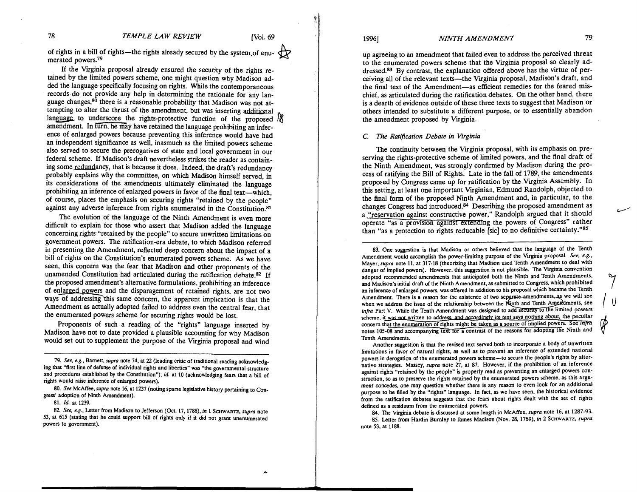78 TEMPLE LAW REVIEW [Vol. 69<br>of rights in a bill of rights—the rights already secured by the system, of enumerated powers.79

If the Virginia proposal already ensured the security of the rights retained by the limited powers scheme, one might question why Madison added the language specifically focusing on rights. While the contemporaneous records do not provide any help in determining the rationale for any language changes,<sup>80</sup> there is a reasonable probability that Madison was not attempting to alter the thrust of the amendment, but was inserting additional language to underscore the rights-protective function of the proposed  $\frac{1}{2}$ amendment. In furn, he may have retained the language prohibiting an inference of enlarged powers because preventing this inference would have had an independent significance as well, inasmuch as the limited powers scheme also served to secure the prerogatives of state and local government in our federal scheme. If Madison's draft nevertheless strikes the reader as containing some redundancy, that is because it does. Indeed, the draft's redundancy probably explains why the committee, on which Madison himself served, in its considerations of the amendments ultimately eliminated the language prohibiting an inference of enlarged powers in favor of the final text-which, of course, places the emphasis on securing rights "retained by the people" against any adverse inference from rights enumerated in the Constitution.<sup>81</sup>

The evolution of the language of the Ninth Amendment is even more difficult to explain for those who assert that Madison added the language concerning rights "retained by the people" to secure unwritten limitations on government powers. The ratification-era debate, to which Madison referred in presenting the Amendment, reflected deep concern about the impact of a bill of rights on the Constitution's enumerated powers scheme. As we have seen, this concern was the fear that Madison and other proponents of the unamended Constitution had articulated during the ratification debate.82 If the proposed amendment's alternative formulations, prohibiting an inference of enlarged powers and the disparagement of retained rights, are not two ways of addressing this same concern, the apparent implication is that the Amendment as actually adopted failed to address even the central fear, that the enumerated powers scheme for securing rights would be lost.

Proponents of such a reading of the "rights" language inserted by Madison have not to date provided a plausible accounting for why Madison would set out to supplement the purpose of the Virginia proposal and wind

**79. See, e.g..** Barnett. supra note **74.** at 22 (leading critic of traditional reading acknowledging that "first line of defense of individual rights and liberties" was "the governmental structure and procedures established by the Constitution"); id at **10** (acknowledging fears that a bill of rights would raise inference of enlarged powers).

**80. See** McAffee.supra note **16.** at **1237** (noting sparse legislative history pertaining to Congress' adoption of Ninth Amendment).

**82. See, e.g.,** Letter from Madison to Jefferson (Oct. **17,1788),** in **1 SCHWARTZ,** supra note **53,** at **615** (stating that he could support bill of rights only if it did not grant unenumerated powers to government).

## 19961 *NINTH AMENDMENT* 79

up agreeing to an amendment that failed even to address the perceived threat to the enumerated powers scheme that the Virginia proposal so clearly addressed.83 By contrast, the explanation offered above has the virtue of perceiving all of the relevant texts-the Virginia proposal, Madison's draft, and the final text of the Amendment-as efficient remedies for the feared mischief, as articulated during the ratification debates. On the other hand, there is a dearth of evidence outside of these three texts to suggest that Madison or others intended to substitute a different purpose, or to essentially abandon the amendment proposed by Virginia.

### **C.** *The Ratification Debate* **in** *Virginia*

The continuity between the Virginia proposal, with its emphasis on preserving the rights-protective scheme of limited powers, and the final draft of the Ninth Amendment, was strongly confirmed by Madison during the process of ratifying the Bill of Rights. Late in the fall of 1789, the amendments proposed by Congress came up for ratification by the Virginia Assembly. In this setting, at least one important Virginian, Edmund Randolph, objected to the final form of the proposed Ninth Amendment and, in particular, to the changes Congress had introduced.84 Describing the proposed amendment as a "reservation against constructive power," Randolph argued that it should operate "as a provision against extending the powers of Congress" rather than "as a protection to rights reducable [sic] to no definitive certainty." $85$ 

**83.** One suggestion is that Madison or others believed that the language of the Tenth Amendment would accomplish the power-limiting purpose of the Virginia proposal. **See, e.g..**  Mayer, supra note **11,** at **317-18** (theorizing that Madison used Tenth Amendment to deal with danger of implied powers). However, this suggestion is not plausible. The Virginia convention adopted recommended amendments that anticipated both the Ninth and Tenth Amendments, and Madison's initial draft of the Ninth Amendment, as submitted to Congress, which prohibited an inference of enlarged powers, was offered in addition to his proposal which became the Tenth Amendment. There is a reason for the existence of two separate-amendments, as we will see when we address the issue of the relationship between the Ninth and Tenth Americannes, see infra Part V. While the Tenth Amendment was designed to add security to the limited powers scheme, it was not written to address, and accordingly its text says nothing about, the peculiar concern that the enumeration of rights might be taken as a source of implied powers. See *infra* notes 105-08 and accompanying text for a contrast of the reasons for adopting the Ninth and Tenth Amendments.

Another suggestion is that the revised text served both to incorporate a body of unwritten limitations in favor of natural rights, as well as to prevent an inference of extended national powers in derogation of the enumerated powers scheme-to secure the people's rights by alternative strategies. Masey, supra note **27,** at **87.** However, if the prohibition of an inference against rights "retained by the people" is properly read as preventing an enlarged powers construction, so as to preserve the rights retained by the enumerated powers scheme, as this argument concedes, one may question whether there is any reason to even look for an additional purpose to be filled by the "rights" language. In fact, as we have seen, the historical evidence from the ratification debates suggests that the fears about rights dealt with the set of rights defined as a residuum from the enumerated powers.

84. The Virginia debate is discussed at some length in McAffee. supra note **16,** at **1287-93. 85.** Letter from Hardin Bumley to James Madison (Nov. **28, 1789).** in **2** SCHWARTZ. supra

note **53,** at **1188.** 

 $\overline{a}$ 

**<sup>81.</sup>** Id at **1239.**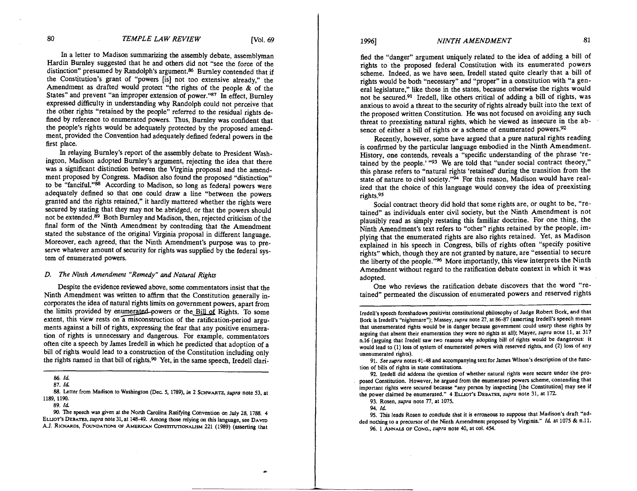In a letter to Madison summarizing the assembly debate, assemblyman Hardin Burnley suggested that he and others did not "see the force of the distinction" presumed by Randolph's argument.% Burnley contended that if the Constitution's grant of "powers [is] not too extensive already," the Amendment as drafted would protect "the rights of the people & of the States" and prevent "an improper extension of power."87 In effect, Burnley expressed difficulty in understanding why Randolph could not perceive that the other rights "retained by the people" referred to the residual rights defined by reference to enumerated powers. 'Ihus, Burnley was confident that the people's rights would be adequately protected by the proposed amendment, provided the Convention had adequately defined federal powers in the first place.

In relaying Burnley's report of the assembly debate to Resident Washington, Madison adopted Burnley's argument, rejecting the idea that there was a significant distinction between the Virginia proposal and the amendment proposed by Congress. Madison also found the proposed "distinction" to be "fanciful."<sup>88</sup> According to Madison, so long as federal powers were adequately defined so that one could draw a line "between the powers granted and the rights retained," it hardly mattered whether the rights were secured by stating that they may not be abridged, or that the powers should not be extended.<sup>89</sup> Both Burnley and Madison, then, rejected criticism of the final form of the Ninth Amendment by contending that the Amendment stated the substance of the original Virginia proposal in different language. Moreover, each agreed, that the Ninth Amendment's purpose was to preserve whatever amount of security for rights was supplied by the federal system of enumerated powers.

# **D.** *The Ninth Amendment "Remedy" and Natural Rights*

Despite the evidence reviewed above, some commentators insist that the Ninth Amendment was written to affirm that the Constitution generally incorporates the idea of natural rights limits on government powers, apart from the limits provided by enumerated powers or the Bill of Rights. To some extent, this view rests on a misconstruction of the ratification-period arguments against a bill of rights, expressing the fear that any positive enumeration of rights is unnecessary and dangerous. For example, commentators often cite a speech by James Iredell in which he predicted that adoption of a bill of rights would lead to a construction of the Constitution including only the rights named in that bill of rights.<sup>90</sup> Yet, in the same speech, Iredell clari-

*88.* Letter from Madison to Washington (Dec 5, 1789), in 2 **SCHWARTZ, supra** note 53, at 1189, 1190.

90. The speech was given at the North Carolina Ratifying Convention on July 28, 1788. 4 ELLIOT's DEBATES, *supra* note 31, at 148-49. Among those relying on this language, see DAVID A.J. RICHARDS, FOUNDATIONS OF AMERICAN CONSTITUTIONALISM 221 (1989) (asserting that

fied the "danger" argument uniquely related to the idea of adding a bill of rights to the proposed federal Constitution with its enumerated powers scheme. Indeed, as we have seen, Iredell stated quite clearly that a bill of rights would be both "necessary" and "proper" in a constitution with "a general legislature," like those in the states, because otherwise the rights would not be secured.<sup>91</sup> Iredell, like others critical of adding a bill of rights, was anxious to avoid a threat to the security of rights already built into the text of the proposed written Constitution. He was not focused on avoiding any such threat to preexisting natural rights, which he viewed as insecure in the absence of either a bill of rights or a scheme of enumerated powers.<sup>92</sup>

Recently, however, some have argued that a pure natural rights reading is confirmed by the particular language embodied in the Ninth Amendment. History, one contends, reveals a "specific understanding of the phrase 'retained by the people.' "93 We are told that "under social contract theory," this phrase refers to "natural rights 'retained' during the transition from the state of nature to civil society."<sup>94</sup> For this reason, Madison would have realized that the choice of this language would convey the idea of preexisting rights.95

Social contract theory did hold that some rights are, or ought to be, "retained" as individuals enter civil society, but the Ninth Amendment is not plausibly read as simply restating this familiar doctrine. For one thing, the Ninth Amendment's text refers to "other" rights retained by the people, implying that the enumerated rights are also rights retained. Yet, as Madison explained in his speech in Congress, bills of rights often "specify positive rights" which, though they are not granted by nature, are "essential to secure the liberty of the people."<sup>96</sup> More importantly, this view interprets the Ninth Amendment without regard to the ratification debate context in which it was adopted.

One who reviews the ratification debate discovers that the word "retained" permeated the discussion of enumerated powers and reserved rights

Iredell's speech foreshadows positivist constitutional philosophy of Judge Robert Bork, and that Bork is Iredell's "nightmare"); Massey, **supra** note 27, at 06-81 (asserting Iredell's speech meant that unenumerated rights would be in danger because government could usurp these rights by arguing that absent their enumeration they were no rights at all); Mayer, **supra** note 11, at 317 11.16 (arguing that Iredell saw two reasons why adopting bill of rights would be dangerous: it would lead to (1) loss of system of enumerated powers with reserved rights, and (2) loss of any unenumerated rights).

91. See supra notes 41-48 and accompanying text for James Wilson's description of the function of bills of rights in state constitutions.

92. Iredell did address the question of whether natural rights were secure under the proposed Constitution. However, he argued from the enumerated powers scheme, contending that important rights were secured because "any person by inspecting [the Constitution] may see if the power claimed be enumerated." 4 ELLIOT'S DEBATES. **supra** note 31. at 172.

93. Rosen, **supra** note **7l.** at 1075.

94. *Id* 

95. This leads Rosen to conclude that it is erroneous to suppose that Madison's draft "added nothing to a precursor of the Ninth Amendment proposed by Virginia." *Id* at 1075 & n.11. 96. 1 ANNALS OF CONG.. **supra** note 40, at col. 454.

*<sup>86.</sup> Id* 

<sup>87.</sup> *Id* 

<sup>89.</sup> *Id*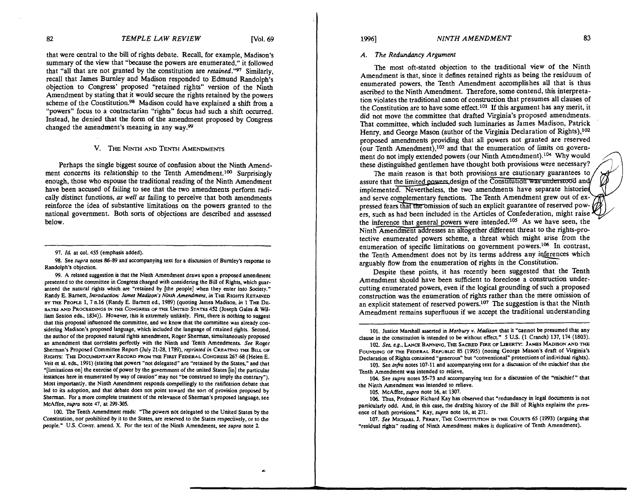-

that were central to the bill of rights debate. Recall, for example, Madison's summary of the view that "because the powers are enumerated," it followed that "all that are not granted by the constitution are *retained."97* Similarly, recall that James Burnley and Madison responded to Edmund Randolph's objection to Congress' proposed "retained rights" version of the Ninth Amendment by stating that it would secure the rights retained by the powers scheme of the Constitution.<sup>98</sup> Madison could have explained a shift from a "powers" focus to a contractarian "rights" focus had such a shift occurred. Instead, he denied that the form of the amendment proposed by Congress changed the amendment's meaning in any way.99

# V. THE NINTH AND TENTH AMENDMENTS

Perhaps the single biggest source of confusion about the Ninth Amendment concerns its relationship to the Tenth Amendment.<sup>100</sup> Surprisingly enough, those who espouse the traditional reading of the Ninth Amendment have been accused of failing to see that the two amendments perform radically distinct functions, *as well as* failing to perceive that both amendments reinforce the idea of substantive limitations on the powers granted to the national government. Both sorts of objections are described and assessed below.

98. See **supra** notes 86-89 and accompanying text for a discussion of Burnley's response to Randolph's objection.

99. A related suggestion is that the Ninth Amendment draws upon a proposed amendment presented to the committee in Congress charged with considering the Bill of Rights, which guaranteed the natural rights which are "retained by [the people] when they enter into Society." Randy E. Barnett. **Introducrioc** *Jmer* **Madiron's Ninth Amendmenr. in** THE Rrom RETAINED BY THE PEOPLE 1. 7 11.16 (Randy E. Barnen ed.. 1989) (quoting James Madison, **in** 1 THE DE-BATES AND PROCEEDINGS IN THE CONGRESS OF THE UNITED STATES 452 (Joseph Gales & William Seaton eds., 1834)). However, this is extremely unlikely. First, there is nothing to suggest that this proposal influenced the committee, and we know that the committee was already considering Madison's proposed language. which included the language of retained rights. Second, the author of the proposed natural rights amendment, Roger Sherman, simultaneously proposed an amendment that correlates perfectly with the Ninth and Tenth Amendments. **See** Roger Sherman's Proposed Committee Repon (July 21-28. 1789). **reprinted in** CREATING **THE** BILL OF RIGHTS: THE DOCUMENTARY RECORD FROM THE FIRST FEDERAL CONGRESS 267-68 (Helen E. Veit et al. eds.. 1991) (stating that powers "not delegated" are "retained by the States," and that "[limitations on] the exercise of power by the government of the united States [in] the particular instances here in enumerated by way of caution" may not **"be** construed to imply the contrary"). Most importantly, the Ninth Amendment responds compellingly to the ratification debate that led to its adoption, and that debate does not point toward the sort of provision proposed by Sherman. For a more complete treatment of the relevance of Shennan's proposed language, see McAffee. **supra** note 47. at 299-305.

100. The Tenth Amendment reads: 'The powers not delegated to the United States by the Constitution, nor prohibited by it to the States, are reserved to the States respectively, or to the people." US. CONST. amend. **X.** For the text of the Ninth Amendment, see **supra** note 2.

## *A. The Redundancy Argument*

The most oft-stated objection to the traditional view of the Ninth Amendment is that, since it defines retained rights as being the residuum of enumerated powers, the Tenth Amendment accomplishes all that is thus ascribed to the Ninth Amendment. Therefore, some contend, this interpretation violates the traditional canon of construction that presumes all clauses of the Constitution are to have some effect.<sup>101</sup> If this argument has any merit, it did not move the committee that drafted Virginia's proposed amendments. That committee, which included such luminaries as James Madison, Patrick Henry, and George Mason (author of the Virginia Declaration of Rights),<sup>102</sup> proposed amendments providing that all powers not granted are reserved (our Tenth Amendment),<sup>103</sup> and that the enumeration of limits on government do not imply extended powers (our Ninth Amendment).<sup>104</sup> Why would these distinguished gentlemen have thought both provisions were necessary?

The main reason is that both provisions are cautionary guarantees to assure that the limited powers design of the Constitution was understood and/ implemented. Nevertheless, the two amendments have separate histori and serve complementary functions. The Tenth Amendment grew out of ex-<br>pressed fears that the omission of such an explicit guarantee of reserved powassure that the limited powers design of the Constitution was understood and<br>implemented. Nevertheless, the two amendments have separate histories<br>and serve complementary functions. The Tenth Amendment grew out of ex-<br>pres ers, such as had been included in the Articles of Confederation, might raise the inference that general powers were intended.<sup>105</sup> As we have seen, the Ninth Amendment addresses an altogether different threat to the rights-protective enumerated powers scheme, a threat which might arise from the enumeration of specific limitations on government powers.<sup>106</sup> In contrast, the Tenth Amendment does not by its terms address any inferences which arguably flow from the enumeration of rights in the Constitution.

Despite these points, it has recently been suggested that the Tenth Amendment should have been sufficient to foreclose a construction undercutting enumerated powers, even if the logical grounding of such a proposed construction was the enumeration of rights rather than the mere omission of an explicit statement of reserved powers.<sup>107</sup> The suggestion is that the Ninth Amendment remains superfluous if we accept the traditional understanding

101. Justice Marshall asserted in **Marbury v. Madison** that it 'cannot be presumed that any clause in the constitution is intended to be without effea." 5 U.S. (1 Cranch) 137, 174 (1803).

102. **See,** *rg..* LANa BANNING. THE SACRED FIRE OF LIBERTY: JAMES MADISON AND THE FOUNDING OF THE FEDERAL REPUBLIC 85 (1995) (noting George Mason's draft of Virginia's Declaration of Rights contained "generous" but 'conventional" protections of individual rights).

103. See **infra** notes 107-11 and accompanying text for a discussion of the mischief that the Tenth Amendment was intended to relieve.

104. See **supra** notes 35-73 and accompanying text for a discussion of the "mischief" that the Ninth Amendment was intended to relieve.

105. McAffee, **supra** note 16. at 1307.

106. Thus, Professor Richard Kay has observed that 'redundancy in legal documents is not particularly odd. And, in this case, the drafting history of the Bill of Rights explains the presence of both provisions." Kay. **supra** note 16, at 271.

107. See MICHAEL J. PERRY, THE CONSTITUTION IN THE COURTS 65 (1993) (arguing that 'residual rights" reading of Ninth Amendment makes it duplicative of Tenth Amendment).

<sup>97.</sup> **Id** at col. 455 (emphasis added).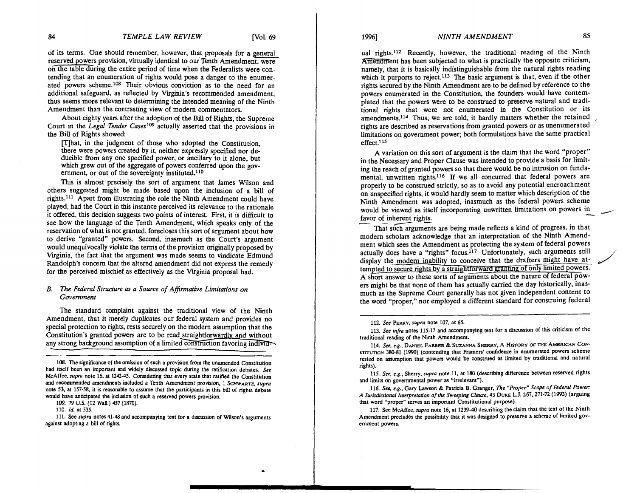of its terms. One should remember, however, that proposals for a genera1 reserved powers provision, virtually identical to our Tenth Amendment, were on the table during the entire period of time when the Federalists were contending that an enumeration of rights would pose a danger to the enumerated powers scheme.<sup>108</sup> Their obvious conviction as to the need for an additional safeguard, as reflected by Viginia's recommended amendment, thus seems more relevant to determining the intended meaning of the Ninth Amendment than the contrasting view of modem commentators.

About eighty years after the adoption of the Bill of Rights, the Supreme Court in the *Legd Tender* **Caseslo9** actually asserted that the provisions in the Bill of Rights showed:

Flhat, in the judgment of those who adopted the Constitution, there were powers created by it, neither expressly specified nor deducible from any one specified power, or ancillary to it alone, but which grew out of the aggregate of powers conferred upon the government, or out of the sovereignty instituted. $110$ 

This is almost precisely the sort of argument that James Wilson and others suggested might be made based upon the inclusion of a bill of rights. $111$  Apart from illustrating the role the Ninth Amendment could have played, had the Court in this instance perceived its relevance to the rationale it offered, this decision suggests two points of interest. First, it is difficult to see how the language of the Tenth Amendment, which speaks only of the reservation of what is not granted, forecloses this sort of argument about how to derive "granted" powers. Second, inasmuch as the Court's argument would unequivocally violate the terms of the provision originally proposed by Virginia, the fact that the argument was made seems to vindicate Edmund Randolph's concern that the altered amendment did not express the remedy for the perceived mischief as effectively as the Virginia proposal had.

### *B. The Federal Structure as a Source of Afinnative Limitations on Government*

The standard complaint against the traditional view of the Ninth Amendment, that it merely duplicates our federal system and provides no special protection to rights, rests securely on the modem assumption that the Constitution's granted powers are to be read straightforwardlv and without any strong background assumption of a limited construction favoring individ-

**109. 79 US. (12 Wall.) 457 (1870).** 

**110. Id at 535.** 

111. See *supra* notes 41-48 and accompanying text for a discussion of Wilson's arguments **against adopting a bill of rights** 

ual rights.<sup>112</sup> Recently, however, the traditional reading of the Ninth Amenament has been subjected to what is practically the opposite criticism, namely, that it is basically indistinguishable from the natural rights reading which it purports to reject.<sup>113</sup> The basic argument is that, even if the other rights secured by, the Ninth Amendment are to be defined by reference to the powers enumerated in the Constitution, the founders would have contemplated that the powers were to be construed to preserve natural and traditional rights that were not enumerated in the Constitution or its amendments.<sup>114</sup> Thus, we are told, it hardly matters whether the retained rights are described as reservations from granted powers or as unenumerated limitations on government power; both formulations have the same practical  $effect.$ <sup>115</sup>

A variation on this sort of argument is the claim that the word "proper" in the Necessary and Proper Clause was intended to provide a basis for limiting the reach of granted powers so that there would be no intrusion on fundamental, unwritten rights.116 If we all concurred that federal powers are properly to be construed strictly, so as to avoid any potential encroachment<br>on unspecified rights, it would hardly seem to matter which description of the<br>Ninth Amendment was adopted, inasmuch as the federal powers scheme on unspecified rights, it would hardly seem to matter which description of the Ninth Amendment was adopted, inasmuch as the federal powers scheme on unspecified rights, it w<br>Ninth Amendment was<br>would be viewed as itsel<br>favor of inherent rights.<br>That such arguments

That such arguments are being made reflects a kind of progress, in that modem scholars acknowledge that an interpretation of the Ninth Amendment which sees the Amendment as protecting the system of federal powers actually does have a "rights" focus.<sup>117</sup> Unfortunately, such arguments still would be viewed as itself incorporating unwritten limitations on powers in<br>favor of inherent rights.<br>That such arguments are being made reflects a kind of progress, in that<br>modern scholars acknowledge that an interpretatio tempted to secure rights by a straightforward granting of only limited powers. A short answer to these sorts of arguments about the nature of federal powers might be that none of them has actually carried the day historically, inasmuch as the Supreme Court generally has not given independent content to the word "proper," nor employed a different standard for construing federal

**112. See PERRY. supra note 107. at 65.** 

**113. See infra notes 115-17 and accompanying text for a discussion of this criticism of the traditional reading of the Ninth Amendment.** 

**115. See, e.g.. Sherry, supra note 11, at 180 (describing difference between resewed rights**  and limits on governmental power as "irrelevant").

**116. See, e.g., Gary Lawson** & **Patricia B. Granger, The "Proper" Scope of Federal Power A Jurirdictwnal Interpretation of the Sweeping Clause. 43 DUKE LJ. 267.271-72 (1993) (arguing that word "proper" serves an important Constitutional purpose).** 

**117. See McAffee, supra note 16, at 1239-40 describing the claim that the text of the Ninth Amendment precludes the possibility that it was designed to preserve a scheme of limited government powers.** 

**<sup>108.</sup> The significance of the omission of such a provision from the unamended Constitution had itself been an important and widely discussed topic during the ratification debates. See McAffee, supra note 16. at 1242.45. Considering that every state that ratified the Constitution**  and recommended amendments included a Tenth Amendment provision, 1 SCHWARTZ, supra **note 53, at 157-58, it is reasonable to assume that the participants in this bill of rights debate would have anticipated the inclusion of such a reserved powers provision.** 

<sup>114.</sup> See, e.g., DANIEL FARBER & SUZANNA SHERRY, A HISTORY OF THE AMERICAN CONsTITUTION 380-81 (1990) (contending that Framers' confidence in enumerated powers scheme **rested on assumption that powers would be construed as limited by traditional and natural rights).**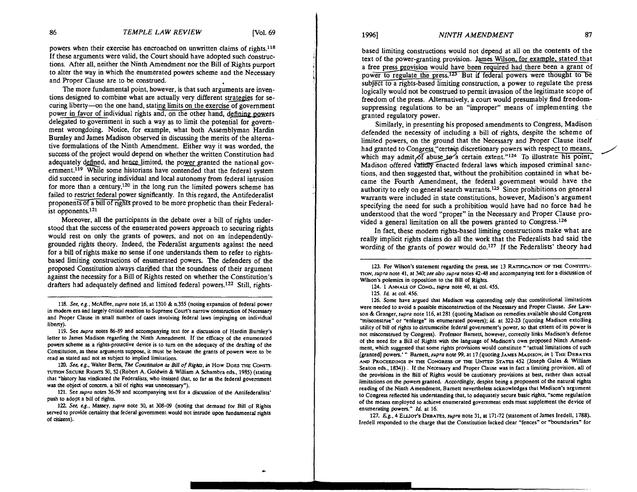powers when their exercise has encroached on unwritten claims of rights.<sup>118</sup> If these arguments were valid, the Court should have adopted such constructions. After all, neither the Ninth Amendment nor the Bill of Rights purport to alter the way in which the enumerated powers scheme and the Necessary and Proper Clause are to be construed.

The more fundamental point, however, is that such arguments are inventions designed to combine what are actually very different strategies for securing liberty-on the one hand, stating limits on the exercise of government power in favor of individual rights and, on the other hand, defining powers delegated to government in such a way as to limit the potential for government wrongdoing. Notice, for example, what both Assemblyman Hardin Burnley and James Madison observed in discussing the merits of the alternative formulations of the Ninth Amendment. Either way it was worded, the success of the project would depend on whether the written Constitution had adequately defined, and hence limited, the power granted the national government.<sup>119</sup> While some historians have contended that the federal system did succeed in securing individual and local autonomy from federal intrusion for more than a century,<sup>120</sup> in the long run the limited powers scheme has failed to restrict federal power significantly. In this regard, the Antifederalist proponents of a bill of rights proved to be more prophetic than their Federalist opponents.121

Moreover, all the participants in the debate over a bill of rights understood that the success of the enumerated powers approach to securing rights would rest on only the grants of powers, and not on an independentlygrounded rights theory. Indeed, the Federalist arguments against the need for a bill of rights make no sense if one understands them to refer to rightsbased limiting constructions of enumerated powers. The defenders of the proposed Constitution always clarified that the soundness of their argument against the necessity for a Bill of Rights rested on whether the Constitution's drafters had adequately defined and limited federal powers.<sup>122</sup> Still, rights-

118. *See,* **eg.,** McAffee, **supra** note 16, at 1310 & 11.355 (noting expansion of federal power in modern era and largely critical reaction to Supreme Court's narrow construction of Necessary and Proper Clause in small number of cases involving federal laws impinging on individual liberty).

119. See **supra** notes 86-89 and accompanying text for a discussion of Hardin Burnley's letter to James Madison regarding the Ninth Amendment. If the efficacy of the enumerated powers scheme as a rights-protective device is to turn on the adequacy of the drafting of the Constitution, as these arguments suppose, it must be because the grants of powers were to be read as stated and not as subject to implied limitations.

120. *See,* **e.g.,** Walter Berns. *The* **Comrinuion** as *Bill* **of** *Rights,* **in** How DOES THE CONSTI-TUTION SECURE RIGHTS 50, 52 (Robert A. Goldwin & William A Schambra eds., 1985) (stating that "history has vindicated the Federalists, who insisted that, so far as the federal government was the object of concern, a bill of rights was unnecessary").

121. See **supra** notes 36-39 and accompanying text for a discussion of the Antifederalists' push to adopt a bill of rights.

122. See, e.g., Massey, *supra* note 30, at 308-09 (noting that demand for Bill of Rights served to provide certainty that federal government would not intrude upon fundamental rights of citizens).

based limiting constructions would not depend at all on the contents of the text of the power-granting provision. James Wilson. for examole, stated that a free press orovision would have been required had there been a grant of power to regulate the press.<sup>123</sup> But if federal powers were thought to be subject to a rights-based limiting construction, a power to regulate the press logically would not be construed to permit invasion of the legitimate scope of freedom of the press. Alternatively, a court would presumably find freedomsuppressing regulations to be an "improper" means of implementing the granted regulatory power.

Similarly, in presenting his proposed amendments to Congress, Madison defended the necessity of including a bill of rights, despite the scheme of limited powers, on the ground that the Necessary and Proper Clause itself had granted to Congress "certain discretionary powers with respect to means, suppressing regulations to be an "improper" means of implementing the<br>granted regulatory power.<br>Similarly, in presenting his proposed amendments to Congress, Madison<br>defended the necessity of including a bill of rights, d Madison offered validly enacted federal laws which imposed criminal sanctions, and then suggested that, without the prohibition contained in what became the Fourth Amendment, the federal government would have the authority to rely on general search warrants.12s Since prohibitions on general warrants were included in state constitutions, however, Madison's argument specifying the need for such a prohibition would have had no force had he understood that the word "proper" in the Necessary and Proper Clause provided a general limitation on all the powers granted to Congress.<sup>126</sup>

In fact, these modern rights-based limiting constructions make what are really implicit rights claims do all the work that the Federalists had said the wording of the grants of power would do.<sup>127</sup> If the Federalists' theory had

123. For Wilson's statement regarding the press, see 13 RATIFICATION OF THE CONSTITUrion, *supra* note 41, at 340; *see also supra* notes 42-48 and accompanying text for a discussion of Wilson's polemics in opposition to the Bill of Rights.

124. 1 ANNALS OF CONO., **supra** note **40.** at col. 455.

125. Id. at col. 456.

126. Some have argued that Madison was contending only that constitutional limitations were needed to avoid a possible misconstruction of the Necessary and Pmper Clause. *See* Lawson & Granger. **supra** note 116, at 281 (quoting Madison on remedies available should Congress "misconstrue" or "enlarge" its enumerated powers); id. at 322-23 (quoting Madison extolling utility of bill of rights to circumscribe federal government's power, so that extent of its power is not misconstrued by Congress). Professor Barnett, however, correctly links Madison's defense of the need for a Bill of Rights with the language of Madison's om proposed Ninth Amendmot misconstrued by Congress). Professor Barnett, however, correctly links Madison's defense<br>of the need for a Bill of Rights with the language of Madison's own proposed Ninth Amend-<br>ment, which suggested that some rights [granted] powers.' " **Barnett,supra** note **99,** at 17 (quoting JAMES MADISON, **in** 1 **THE** DEBATES AND PROCEEDINGS IN THE CONGRESS OF THE UNITED STATES 452 (Joseph Gales & William Seaton eds., 1834)) . If the Necessary and Proper Clause was in fact a limiting provision, all of the provisions in the Bill of Rights would be cautionary provisions at best, rather than actual limitations on the powers granted. Accordingly, despite being a proponent of the natural rights reading of the Ninth Amendment, Barnett nevertheless acknowledges that Madison's argument to Congress reflected his understanding that, to adequately secure basic rights, "some regulation of the means employed to achieve enumerated government ends must supplement the device of enumerating powers." Id. at 16.

127. *Eg.,* 4 ELLIOT'S DEBATES. **supra** note 31, at 171-72 (statement of James Iredell, 1788). Iredell responded to the charge that the Constitution lacked dear "fences" or 'boundaries" for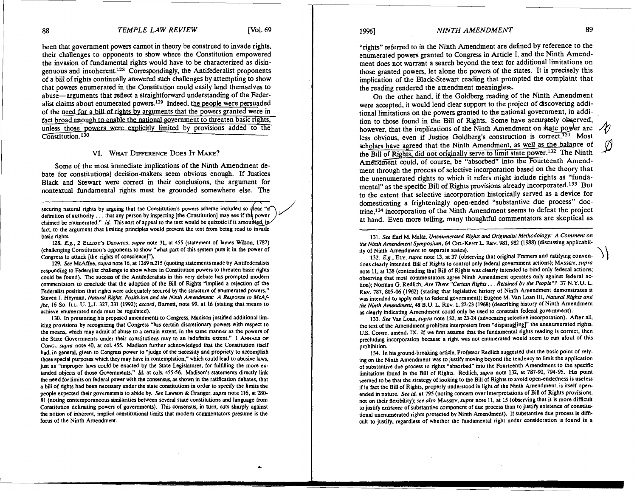been that government powers cannot in theory be construed to invade rights, their challenges to opponents to show where the Constitution empowered the invasion of fundamental rights would have to be characterized as disin $g_{\text{enuous and incoherent}.<sup>128</sup> Correspondingly, the Antifederalist prononents$ of a bill of rights continually answered such challenges by attempting to show that powers enumerated in the Constitution could easily lend themselves to abuse—arguments that reflect a straightforward understanding of the Federalist claims about enumerated powers.<sup>129</sup> Indeed, the people were persuaded of the need for a bill of rights by arguments that the powers granted were in fact broad enough to enable the national government to threaten basic rights, unless those powers were explicitly limited by provisions added to the Constitution.<sup>130</sup>

## **VI.** WHAT DIFFERENCE DOES IT MAKE?

Some of the most immediate implications of the Ninth Amendment debate for constitutional decision-makers seem obvious enough. If Justices Black and Stewart were correct in their conclusions, the argument for nontextual fundamental rights must be grounded somewhere else. The

securing natural rights by arguing that the Constitution's powers scheme included so dear "a" definition of authority... that any person by inspecting [the Constitution] may see if the power claimed be enumerated." *Id.* This sort of appeal to the text would be quixotic if it amounted, in sistices<br>
ont for<br>
The<br>
dear "a<br>
power<br>
invade fact, to the argument that limiting principles would prevent the text from being read to invade basic rights.

128. **E.g.,** 2 ELUOT'S DEBATES. **supra** note 31. at 455 (statement of James W~lson. 1787) (challenging Constitution's opponents to show "what part of this system puts it in the power of Congress to attack [the rights of conscience]").

129. See McAffee, *supra* note 16, at 1269 n.215 (quoting statements made by Antifederalists responding to Federalist challenge to show where in Constitution powers to threaten basic rights could be found). The success of the Antifederalists in this very debate has prompted modem commentators to conclude that the adoption of the Bill of Rights 'implied a rejection of the Federalist position that rights were adequately secured by the structure of enumerated powers." Steven J. Heyman, Natural Rights, Positivism and the Ninth Amendment: A Response to McAf**fee,** 16 So. ILL U. L.J. 327.331 (1992); **accord.** Bamett, note **99,** at 16 (stating that means to achieve enumerated ends must be regulated).

130. In presenting his proposed amendments to Congress, Madison justified additional limiting provisions by recognizing that Congress "has certain discretionary powers with respect to the means, which may admit of abuse to a certain extent, in the same manner as the powers of the State Governments under their constitutions may to an indefinite extent." 1 ANNALS OF CONG., **supm** note 40, at col. 455. Madison further acknowledged that the Constitution itself had, in general. given to Congress power to "judge of the necessity and propriety to accomplish those special purposes which they may have in contemplation," which could lead to abusive laws. just as "improper laws could be enacted by the State Legislatures, for fulfilling the more extended objects of those Governments." Id. at cols. 455-56. Madison's statements directly link the need for limits on federal power with the consensus, as shown in the ratification debates, that a bill of rights had been necessary under the state constitutions in order to specify the limits the people expected their governments to abide by. **See** Lawson &Granger, **supra** note 116, at 280- 81 (noting contemporaneous similarities between several state constitutions and language from Constitution delimiting powers of governments). This consensus, in turn, cuts sharply against the notion of inherent. implied cnnstitutional limits that modem commentators presume is the focus of the Ninth Amendment.

### *NINTH AMENDMENT*

"rights" referred to in the Ninth Amendment are defined by reference to the enumerated powers granted to Congress in Article I, and the Ninth Amendment does not warrant a search beyond the text for additional limitations on those granted powers, let alone the powers of the states. It is precisely this implication of the Black-Stewart reading that prompted the complaint that the reading rendered the amendment meaningless.

On the other hand, if the Goldberg reading of the Ninth Amendment were accepted, it would lend clear support to the project of discovering additional limitations on the powers granted to the national government, in addition to those found in the Bill of Rights. Some have accurately observed, however, that the implications of the Ninth Amendment on state power are  $\mathcal M$ in the B<br>inplications<br>if Justice<br>d not orig less obvious, even if Justice Goldberg's construction is correct.<sup>131</sup> Most<br>coholars have agreed that the Ninth Amendment, as well as the balance of<br>the Dill of Diske did not originally serve in limit state power <sup>132</sup>. T the Bill of Rights, did not originally serve to limit state power.<sup>132</sup> The Ninth Amendment could, of course, be "absorbed" into the Fourteenth Amendment through the process of selective incorporation based on the theory that the unenumerated rights to which it refers might include rights as "fundamental" as the specific Bill of Rights provisions already incorporated.133 But to the extent that selective incorporation historically served as a device for domesticating a frighteningly open-ended "substantive due process" doctrine,<sup>134</sup> incorporation of the Ninth Amendment seems to defeat the project at hand. Even more telling, many thoughtful commentators are skeptical as

131. **See** Earl M. Maltz, **Unenumerafed Rights and Originallst Methodology: A Comment on Ihe Ninth Amendment Symposium. 64** CHI.-KENT **L** REV. 981.982 (1988) (discussing applicability of Ninth Amendment to separate states).

132. E.g., ELY, *supra* note 13, at 37 (observing that original Framers and ratifying conventions clearly intended Bill of Rights to control only federal government actions); MASSEY, supra note 11, at 138 (contending that Bill of Rights was clearly intended to bind only federal actions; observing that most commentators agree Ninth Amendment operates only against federal action); Norman G. Redlich. *Are There "Certain Rights* . . . *Retained by the People"?* 37 N.Y.U. L. REV. 787, 805-06 (1962) (stating that legislative history of Ninth Amendment demonstrates it was intended to apply only to federal government); Eugene M. Van Loan III, Natural Rights and **the Ninth Amendment. 48** B.U. **L** REV. 1.22-23 (1%8) (describing history of Ninth Amendment as clearly indicating Amendment could only be used to constrain federal government).

133. **See** Van Loan, **supra** note 132. at 23-24 (advocating selective incorporation). After all. the text of the Amendment prohibits interpreters from "disparag[ing]" the unenumerated rights. U.S. CONST. amend. IX. If we first assume that the fundamental rights reading is correct, then precluding incorporation because a right was not enumerated would seem to run afoul of this prohibition.

134. In his ground-breaking article. Professor Redlich suggested that the basic point of relying on the Ninth Amendment was to justify moving beyond the tendency to limit the application of substantive due process to rights 'absorbed" into the Fourteenth Amendment to the specific litations found in the Bill of Rights. Redlich, **supra** note 132, at 787-90, 794-95. His point seemed to be that the strategy of looking to the Bill of Rights to avoid open-endedness is useless if in fact the Bill of Rights, properly understood in light of the Ninth Amendment, is itself openended in nature. See id. at 795 (noting concern over interpretations of Bill of Rights provisions, not on their flexibility); see also MAssey, supra note 11, at 15 (observing that it is more difficult to justify **existence** of Substantive component of due process than to justify existence of constitutional unenumerated rights protected by Ninth Amendment). If substantive due process is difficult to justify, regardless of whether the fundamental right under consideration is found in a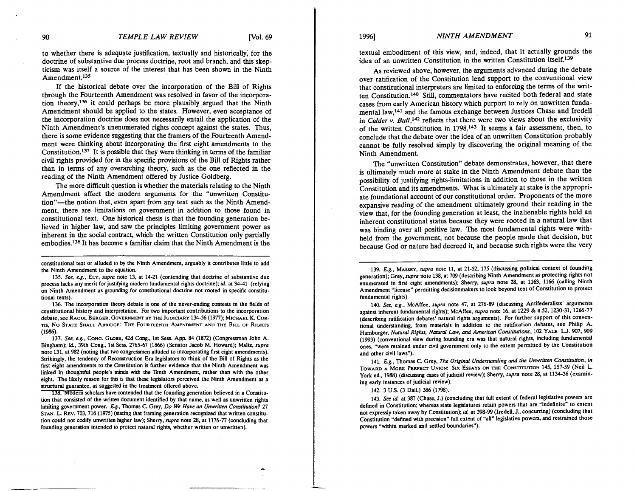to whether there is adequate justification, textually and historically; for the doctrine of substantive due process doctrine, root and branch, and this skepticism was itself a source of the interest that has been shown in the Ninth Amendment.135

If the historical debate over the incorporation of the Bill of Rights through the Fourteenth Amendment was resolved in favor of the incorporation theory,<sup>136</sup> it could perhaps be more plausibly argued that the Ninth Amendment should be applied to the states. However, even acceptance of the incorporation doctrine does not necessarily entail the application of the Ninth Amendment's unenumerated rights concept against the states. Thus, there is some evidence suggesting that the framers of the Fourteenth Amendment were thinking about incorporating the first eight amendments to the Constitution.<sup>137</sup> It is possible that they were thinking in terms of the familiar civil rights provided for in the specific provisions of the Bill of Rights rather than in terms of any overarching theory, such as the one reflected in the reading of the Ninth Amendment offered by Justice Goldberg.

The more difficult question is whether the materials relating to the Ninth Amendment affect the modem arguments for the "unwritten Constitution"-the notion that, even apart from any text such as the Ninth Amendment, there are limitations on government in addition to those found in constitutional text. One historical thesis is that the founding generation believed in higher law, and saw the principles limiting government power as inherent in the social contract, which the written Constitution only partially embodies.<sup>138</sup> It has become a familiar claim that the Ninth Amendment is the

constitutional text or alluded to by the Ninth Amendment, arguably it contributes little to add the Ninth Amendment to the equation.

135. **See, e.g..** ELY, **supra** note 13, at 14-21 (contending that doctrine of substantive due process lacks any merit for justifying modern fundamental rights doctrine); *id.* at 34-41 (relying on Ninth Amendment as grounding for constitutional doctrine not rooted in specific constitutional texts).

136. The incorporation theory debate is one of the never-ending contests in the fields of constitutional history and interpretation. For two important contributions to the incorporation debate, see RAOUL BERGER, GOVERNMENT BY THE JUDICIARY 134-56 (1977); MICHAEL K. CUR-TIS, NO STATE SHALL ABRIDGE: THE FOURTEENIW AMENDMENT AND THE BILL OF RIGHTS (1986).

137. See, e.g., CONG. GLOBE, 42d Cong., 1st Sess. App. 84 (1872) (Congressman John A. Bingham): id, 39th Cong.. 1st Sess. 2765-67 (1866) (Senator Jacob M. Howard); Maltz. **supra**  note 131. at 982 (noting that two congressmen alluded to incorporating first eight amendments). Strikingly, the tendency of Reconstruction Era legislators to think of the Bill of Rights as the first eight amendments to the Constitution is further evidence that the Ninth Amendment was linked in thoughtful people's minds with the Tenth Amendment, rather than with the other eight. The likely reason for this is that these legislators perceived the Ninth Amendment as a structural guarantee, as suggested in the treatment offered above.

138. Modern scholars have contended that the founding generation believed in a Constitution that consisted of the written document identified by that name. as well as unwritten rights limiting government power. **Bg.,** Thomas C Grey. **Do We Have an Unwrinen Constitwion?** 27 STAN. **L.** REV. 703,716 (1975) (stating that framing generation recognized that written constitution could not codify unwritten higher law); Sherry. **supra** note 28. at 1176-77 (concluding that founding generation intended to protect natural rights, whether written or unwritten).

textual embodiment of this view, and, indeed, that it actually grounds the idea of an unwritten Constitution in the written Constitution itself.<sup>139</sup>

As reviewed above, however, the arguments advanced during the debate over ratification of the Constitution lend support to the conventional view that constitutional interpreters are limited to enforcing the terms of the written Constitution.<sup>140</sup> Still, commentators have recited both federal and state cases from early American history which purport to rely on unwritten fundamental law,141 and the famous exchange between Justices Chase and Iredell in Calder v. Bull,<sup>142</sup> reflects that there were two views about the exclusivity of the written Constitution in 1798.143 It seems a fair assessment, then, to conclude that the debate over the idea of an unwritten Constitution probably cannot be fully resolved simply by discovering the original meaning of the Ninth Amendment.

The "unwritten Constitution" debate demonstrates, however, that there is ultimately much more at stake in the Ninth Amendment debate than the possibility of justifying rights-limitations in addition to those in the written Constitution and its amendments. What is ultimately at stake is the appropriate foundational account of our constitutional order. Proponents of the more expansive reading of the amendment ultimately ground their reading in the view that, for the founding generation at least, the inalienable rights held an inherent constitutional status because they were rooted in a natural law that was binding over all positive law. The most fundamental rights were withheld from the government, not because the people made that decision, but because God or nature had decreed it, and because such rights were the very

139. **E.g.,** MASSEY, **supra** note 11, at 21-52, 175 (discussing political context of founding generation); Grey. **supra** note 138, at 709 (describing Ninth Amendment as protecting rights not enumerated in first eight amendments); Sherry, **supra** note 28, at 1163, 1166 (calling Ninth Amendment "license" permitting decisionmakers to look beyond text of Constitution to protect fundamental rights).

140. **See, e.g.,** McAffee, **supra** note 47, at 276-89 (discussing Antifederalists' arguments against inherent Fundamental rights); McAffee, **supra** note 16, at 1229 & n.52, 1230-31, 1266-77 (describing ratification debates' natural rights arguments). For further support of this conventional understanding, from materials in addition to the ratification debates, see Philip A. Hamburger, Natural Rights, Natural Law, and American Constitutions, 102 YALE L.J. 907, 909 (1993) (conventional view during founding era was that natural rights, including fundamental ones, "were retained under civil government only to the extent permitted by the Constitution and other civil laws").

141. E.g., Thomas C. Grey, The Original Understanding and the Unwritten Constitution, in TOWARD A MORE PERFECT UNION: SIX ESSAYS ON THE CONSTITUTION 145, 157-59 (Neil L. York ed., 1988) (discussing cases of judicial review); Sherry, *supra* note 28, at 1134-36 (examining early instances of judicial review).

142. 3 U.S. (3 Dall.) 386 (1798).

143. **See id.** at 387 (Chase, J.) (concluding that Full extent of federal legislative powers are defined in Constitution; whereas state legislatures retain powers that are "indefinite" to extent not expressly taken away by Constitution); **id** at 398-99 (Iredell, J.. concurring) (concluding that Constitution "defined with precision" full extent of "all" legislative powers, and restrained those powers "within marked and settled boundaries").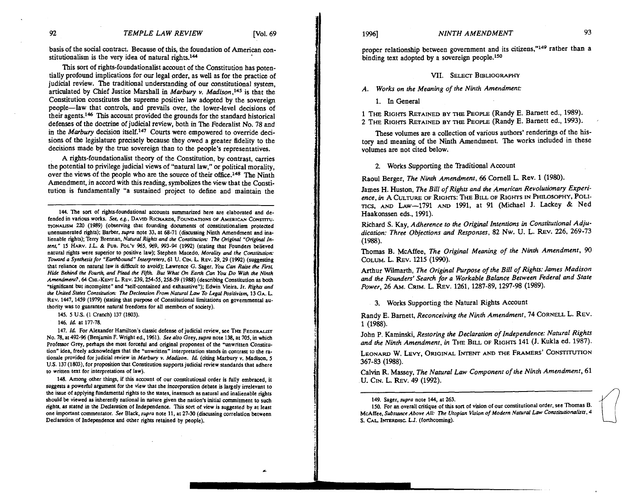basis of the social contract. Because of this, the foundation of American constitutionalism is the very idea of natural rights. $144$ 

This sort of rights-foundationalist account of the Constitution has potentially profound implications for our legal order, as well as for the practice of judicial review. The traditional understanding of our constitutional system, articulated by Chief Justice Marshall in *Marbury v. Madison*,<sup>145</sup> is that the Constitution constitutes the supreme positive law adopted by the sovereign people-law that controls, and prevails over, the lower-level decisions of their agents.<sup>146</sup> This account provided the grounds for the standard historical defenses of the doctrine of judicial review, both in The Federalist No. 78 and in the *Marbury* decision itself.<sup>147</sup> Courts were empowered to override decisions of the legislature precisely because they owed a greater fidelity to the decisions made by the true sovereign than to the people's representatives.

A rights-foundationalist theory of the Constitution, by contrast, carries the potential to privilege judicial views of "natural law," or political morality, over the views of the people who are the source of their office.148 The Ninth Amendment, in accord with this reading, symbolizes the view that the Constitution is fundamentally "a sustained project to define and maintain the

144. The sort of rights-foundational accounts summarized here are elaborated and defended in various works. See, e.g., DAVID RICHARDS, FOUNDATIONS OF AMERICAN CONSTITUnoNAusM **220** (1989) (observing that founding documents of constitutionalism protected unenumerated rights); Barber, *supra* note 33, at 68-71 (discussing Ninth Amendment and inalienable rights); Terry Brennan. *Nahual Rights and the Conrtinuiow* **Thc** *Original "Original Intent,"* 15 HARV. J.L. & PUB. POL'Y 965, 969, 993-94 (1992) (stating that Founders believed natural rights were superior to positive law); Stephen Macedo. *Moraliry* and *the Conrtiwion. Toward a Synthesis for "Earthbod" Interpreters,* 61 *U.* **Cm. L** REV. 29-29 (1992) (suggesting that reliance on natural law is difficult to avoid); Lawrence G. Sager, *You Can Rairc the FUSS Hide Behind the Fourth, and Plead the Fifth. But What On Earth Can You Do With the Ninth Amendmuu?. 64* CHI.-KENT L. REV. 239.254-55.258-59 (1988) (describing Constitution as both "significant but incomplete" and 'self-contained and exhaustive"); Edwin Meira. Jr. *Righu and*  the United States Constitution: The Declension From Natural Law To Legal Positivism, 13 GA. L. REV. 1447, 1459 (1979) (stating that purpose of Constitutional limitations on governmental authority was to guarantee natural freedoms for all members of society).

145. 5 U.S. (1 Cranch) 137 (1803).

146. *Id* at 177-78.

147. *Id.* For Alexander Hamilton's classic defense of judicial review, see THE FEDERALIST No. 78, at 492-96 (Benjamin F. Wright ed., 1961). See also Grey, supra note 138, at 705, in which Professor Grey, perhaps the most forceful and original proponent of the 'unwritten Constitution" idea, freely acknowledges that the 'unwritten" interpretation stands in contrast to the rationale provided for judicial review in *Marbwy v. Madison. Id* (citing Marbury v. Madison, 5 US. 137 (1803). for proposition that Constitution suppons judicial review standards that adhere to written text for interpretations of law).

148. Among other things, if this account of our constitutional order is fully embraced, it suggests a powerful argument for the view that the incorporation debate is largely irrelevant to the issue of applying fundamental rights to the states, inasmuch as natural and inalienable rights should be viewed as inherently national in nature given the nation's initial commitment to such rights, as stated in the Declaration of Independence. This sort of view is suggested by at least one important commentator. *See* Black, *supra* note 11, at 27-30 (discussing correlation between Declaration of Independence and other rights retained by people).

proper relationship between government and its citizens,"149 rather than a binding text adopted by a sovereign people.<sup>150</sup>

**VII.** SELECT BIBLIOGRAPHY

*A. Works on the Meaning of the Ninth Amendment:* 

1. In General

1 THE RIGHTS RETAINED BY THE PEOPLE (Randy E. Barnett ed., 1989). 2 THE RIGHTS RETAINED BY THE PEOPLE (Randy E. Barnett ed., 1993).

These volumes are a collection of various authors' renderings of the history and meaning of the Ninth Amendment. The works included in these volumes are not cited below.

2. Works Supporting the Traditional Account

Raoul Berger, *The Ninth Amendment, 66* Cornell L. Rev. 1 (1980).

James H. Huston, *The Bill of Rights and the American Revolutionary Experience, in* A CULTURE OF RIGHTS: THE BILL OF RIGHTS IN PHILOSOPHY, POLI*ncs,* AM) LAW-1791 AND 1991, at 91 (Michael J. Lackey & Ned Haakonssen eds., 1991).

Richard S. Kay, *Adherence to the Original Intentions in Constitutional Adjudication: Three Objections and Responses,* 82 Nw. **U.** L. REV. 226. 269-73 (1988).

Thomas B. McAffee, *The Original Meaning of the Ninth Amendment, 90*  COLUM. L. **REV.** 1215 (1990).

Arthur Wdmarth, *The Original Purpose of the Bill of Rights: James Madiron and the Founders' Search for a Workable Balance Between Federal and State Power,* 26 **AM.** CRIM. L. **REV.** 1261, 1287-89, 1297-98 (1989).

3. Works Supporting the Natural Rights Account

Randy E. Barnett, *Reconceiving the Ninth Amendment,* 74 CORNELL. REV. 1 (1988).

John P. Kaminski, *Restoring the Declaration of Independence: Natural Rights*  and the Ninth Amendment, in THE BILL OF RIGHTS 141 (J. Kukla ed. 1987).

LEONARD W. LEVY, ORIGINAL INTENT AND THE FRAMERS' CONSTITUTION 367-83 (1988).

Calvin R. Massey. *The Natural Law Component of the Ninth Amendment,* 61 *U.* CIN. L. **REV.** 49 (1992).

<sup>149.</sup> Sager, *supra* note 144, at 263.

<sup>150.</sup> For an overall critique of this son of vision of our constitutional order, see Thomas **8.**  McAffee, Substance Above All: The Utopian Vision of Modern Natural Law Constitutionalists, 4 S. CAL INTERDISC LJ. (forthcoming).